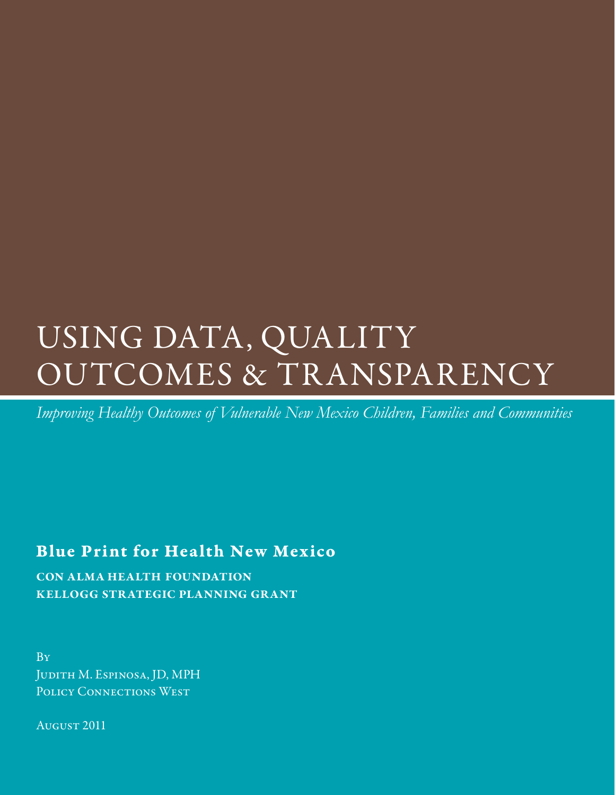# USING DATA, QUALITY OUTCOMES & TR ANSPARENCY

*Improving Healthy Outcomes of Vulnerable New Mexico Children, Families and Communities*

## Blue Print for Health New Mexico

con alma health foundation kellogg strategic planning grant

By Judith M. Espinosa, JD, MPH POLICY CONNECTIONS WEST

August 2011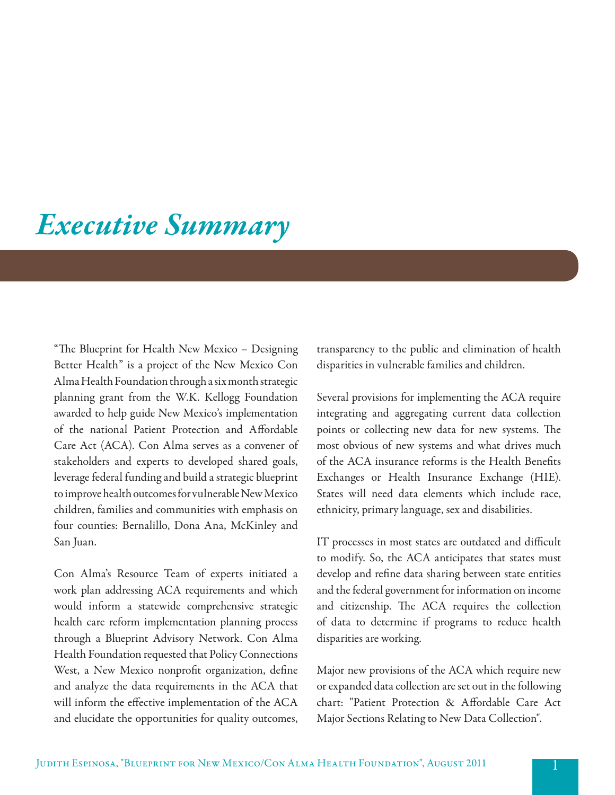## *Executive Summary*

"The Blueprint for Health New Mexico – Designing Better Health" is a project of the New Mexico Con Alma Health Foundation through a six month strategic planning grant from the W.K. Kellogg Foundation awarded to help guide New Mexico's implementation of the national Patient Protection and Affordable Care Act (ACA). Con Alma serves as a convener of stakeholders and experts to developed shared goals, leverage federal funding and build a strategic blueprint to improve health outcomes for vulnerable New Mexico children, families and communities with emphasis on four counties: Bernalillo, Dona Ana, McKinley and San Juan.

Con Alma's Resource Team of experts initiated a work plan addressing ACA requirements and which would inform a statewide comprehensive strategic health care reform implementation planning process through a Blueprint Advisory Network. Con Alma Health Foundation requested that Policy Connections West, a New Mexico nonprofit organization, define and analyze the data requirements in the ACA that will inform the effective implementation of the ACA and elucidate the opportunities for quality outcomes, transparency to the public and elimination of health disparities in vulnerable families and children.

Several provisions for implementing the ACA require integrating and aggregating current data collection points or collecting new data for new systems. The most obvious of new systems and what drives much of the ACA insurance reforms is the Health Benefits Exchanges or Health Insurance Exchange (HIE). States will need data elements which include race, ethnicity, primary language, sex and disabilities.

IT processes in most states are outdated and difficult to modify. So, the ACA anticipates that states must develop and refine data sharing between state entities and the federal government for information on income and citizenship. The ACA requires the collection of data to determine if programs to reduce health disparities are working.

Major new provisions of the ACA which require new or expanded data collection are set out in the following chart: "Patient Protection & Affordable Care Act Major Sections Relating to New Data Collection".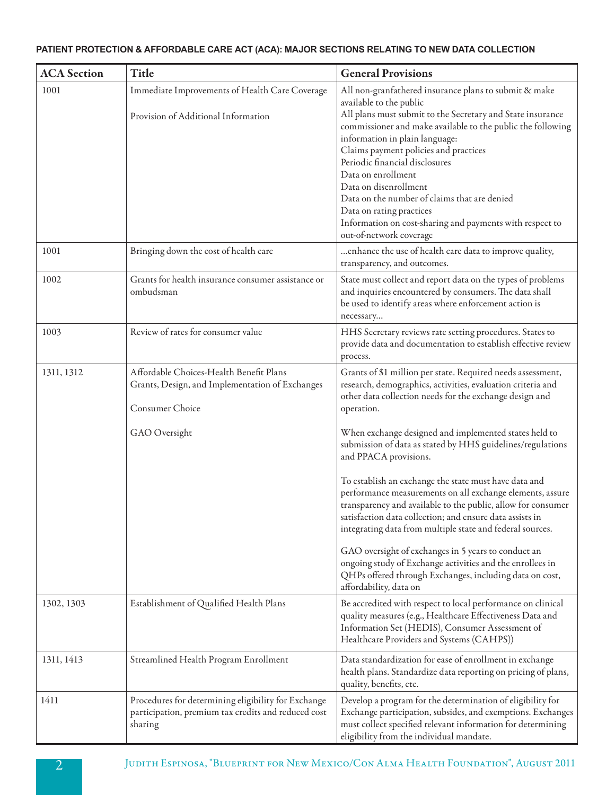### **PATIENT PROTECTION & AFFORDABLE CARE ACT (ACA): MAJOR SECTIONS RELATING TO NEW DATA COLLECTION**

| <b>ACA</b> Section | Title                                                                                                                          | <b>General Provisions</b>                                                                                                                                                                                                                                                                                                                                                                                                                                                                                                                                                                                                                                                                                                                                                                                                                                                   |
|--------------------|--------------------------------------------------------------------------------------------------------------------------------|-----------------------------------------------------------------------------------------------------------------------------------------------------------------------------------------------------------------------------------------------------------------------------------------------------------------------------------------------------------------------------------------------------------------------------------------------------------------------------------------------------------------------------------------------------------------------------------------------------------------------------------------------------------------------------------------------------------------------------------------------------------------------------------------------------------------------------------------------------------------------------|
| 1001               | Immediate Improvements of Health Care Coverage<br>Provision of Additional Information                                          | All non-granfathered insurance plans to submit & make<br>available to the public<br>All plans must submit to the Secretary and State insurance<br>commissioner and make available to the public the following<br>information in plain language:<br>Claims payment policies and practices<br>Periodic financial disclosures<br>Data on enrollment<br>Data on disenrollment<br>Data on the number of claims that are denied<br>Data on rating practices<br>Information on cost-sharing and payments with respect to<br>out-of-network coverage                                                                                                                                                                                                                                                                                                                                |
| 1001               | Bringing down the cost of health care                                                                                          | enhance the use of health care data to improve quality,<br>transparency, and outcomes.                                                                                                                                                                                                                                                                                                                                                                                                                                                                                                                                                                                                                                                                                                                                                                                      |
| 1002               | Grants for health insurance consumer assistance or<br>ombudsman                                                                | State must collect and report data on the types of problems<br>and inquiries encountered by consumers. The data shall<br>be used to identify areas where enforcement action is<br>necessary                                                                                                                                                                                                                                                                                                                                                                                                                                                                                                                                                                                                                                                                                 |
| 1003               | Review of rates for consumer value                                                                                             | HHS Secretary reviews rate setting procedures. States to<br>provide data and documentation to establish effective review<br>process.                                                                                                                                                                                                                                                                                                                                                                                                                                                                                                                                                                                                                                                                                                                                        |
| 1311, 1312         | Affordable Choices-Health Benefit Plans<br>Grants, Design, and Implementation of Exchanges<br>Consumer Choice<br>GAO Oversight | Grants of \$1 million per state. Required needs assessment,<br>research, demographics, activities, evaluation criteria and<br>other data collection needs for the exchange design and<br>operation.<br>When exchange designed and implemented states held to<br>submission of data as stated by HHS guidelines/regulations<br>and PPACA provisions.<br>To establish an exchange the state must have data and<br>performance measurements on all exchange elements, assure<br>transparency and available to the public, allow for consumer<br>satisfaction data collection; and ensure data assists in<br>integrating data from multiple state and federal sources.<br>GAO oversight of exchanges in 5 years to conduct an<br>ongoing study of Exchange activities and the enrollees in<br>QHPs offered through Exchanges, including data on cost,<br>affordability, data on |
| 1302, 1303         | Establishment of Qualified Health Plans                                                                                        | Be accredited with respect to local performance on clinical<br>quality measures (e.g., Healthcare Effectiveness Data and<br>Information Set (HEDIS), Consumer Assessment of<br>Healthcare Providers and Systems (CAHPS))                                                                                                                                                                                                                                                                                                                                                                                                                                                                                                                                                                                                                                                    |
| 1311, 1413         | Streamlined Health Program Enrollment                                                                                          | Data standardization for ease of enrollment in exchange<br>health plans. Standardize data reporting on pricing of plans,<br>quality, benefits, etc.                                                                                                                                                                                                                                                                                                                                                                                                                                                                                                                                                                                                                                                                                                                         |
| 1411               | Procedures for determining eligibility for Exchange<br>participation, premium tax credits and reduced cost<br>sharing          | Develop a program for the determination of eligibility for<br>Exchange participation, subsides, and exemptions. Exchanges<br>must collect specified relevant information for determining<br>eligibility from the individual mandate.                                                                                                                                                                                                                                                                                                                                                                                                                                                                                                                                                                                                                                        |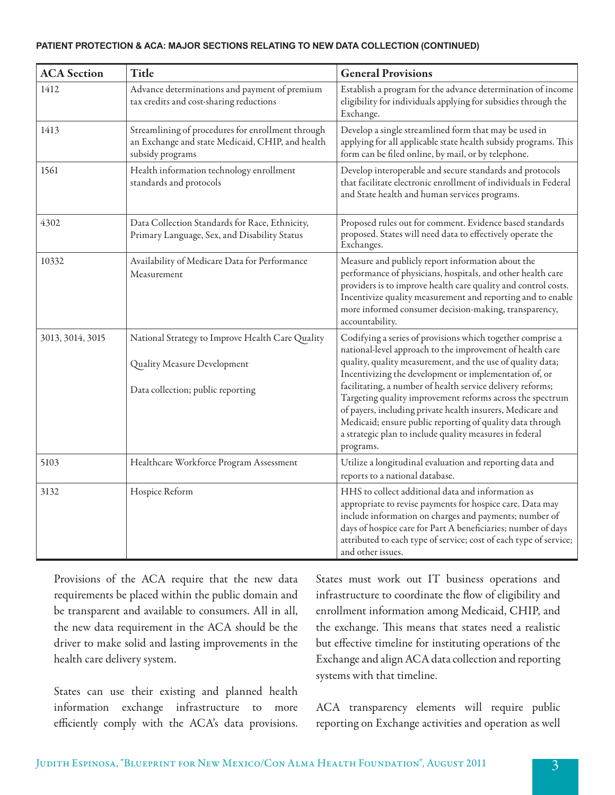#### **PATIENT PROTECTION & ACA: MAJOR SECTIONS RELATING TO NEW DATA COLLECTION (CONTINUED)**

| <b>ACA</b> Section | <b>Title</b>                                                                                                              | <b>General Provisions</b>                                                                                                                                                                                                                                                                                                                                                                                                                                                                                                                                                     |
|--------------------|---------------------------------------------------------------------------------------------------------------------------|-------------------------------------------------------------------------------------------------------------------------------------------------------------------------------------------------------------------------------------------------------------------------------------------------------------------------------------------------------------------------------------------------------------------------------------------------------------------------------------------------------------------------------------------------------------------------------|
| 1412               | Advance determinations and payment of premium<br>tax credits and cost-sharing reductions                                  | Establish a program for the advance determination of income<br>eligibility for individuals applying for subsidies through the<br>Exchange.                                                                                                                                                                                                                                                                                                                                                                                                                                    |
| 1413               | Streamlining of procedures for enrollment through<br>an Exchange and state Medicaid, CHIP, and health<br>subsidy programs | Develop a single streamlined form that may be used in<br>applying for all applicable state health subsidy programs. This<br>form can be filed online, by mail, or by telephone.                                                                                                                                                                                                                                                                                                                                                                                               |
| 1561               | Health information technology enrollment<br>standards and protocols                                                       | Develop interoperable and secure standards and protocols<br>that facilitate electronic enrollment of individuals in Federal<br>and State health and human services programs.                                                                                                                                                                                                                                                                                                                                                                                                  |
| 4302               | Data Collection Standards for Race, Ethnicity,<br>Primary Language, Sex, and Disability Status                            | Proposed rules out for comment. Evidence based standards<br>proposed. States will need data to effectively operate the<br>Exchanges.                                                                                                                                                                                                                                                                                                                                                                                                                                          |
| 10332              | Availability of Medicare Data for Performance<br>Measurement                                                              | Measure and publicly report information about the<br>performance of physicians, hospitals, and other health care<br>providers is to improve health care quality and control costs.<br>Incentivize quality measurement and reporting and to enable<br>more informed consumer decision-making, transparency,<br>accountability.                                                                                                                                                                                                                                                 |
| 3013, 3014, 3015   | National Strategy to Improve Health Care Quality<br>Quality Measure Development<br>Data collection; public reporting      | Codifying a series of provisions which together comprise a<br>national-level approach to the improvement of health care<br>quality, quality measurement, and the use of quality data;<br>Incentivizing the development or implementation of, or<br>facilitating, a number of health service delivery reforms;<br>Targeting quality improvement reforms across the spectrum<br>of payers, including private health insurers, Medicare and<br>Medicaid; ensure public reporting of quality data through<br>a strategic plan to include quality measures in federal<br>programs. |
| 5103               | Healthcare Workforce Program Assessment                                                                                   | Utilize a longitudinal evaluation and reporting data and<br>reports to a national database.                                                                                                                                                                                                                                                                                                                                                                                                                                                                                   |
| 3132               | Hospice Reform                                                                                                            | HHS to collect additional data and information as<br>appropriate to revise payments for hospice care. Data may<br>include information on charges and payments; number of<br>days of hospice care for Part A beneficiaries; number of days<br>attributed to each type of service; cost of each type of service;<br>and other issues.                                                                                                                                                                                                                                           |

Provisions of the ACA require that the new data requirements be placed within the public domain and be transparent and available to consumers. All in all, the new data requirement in the ACA should be the driver to make solid and lasting improvements in the health care delivery system.

States can use their existing and planned health information exchange infrastructure to more efficiently comply with the ACA's data provisions. States must work out IT business operations and infrastructure to coordinate the flow of eligibility and enrollment information among Medicaid, CHIP, and the exchange. This means that states need a realistic but effective timeline for instituting operations of the Exchange and align ACA data collection and reporting systems with that timeline.

ACA transparency elements will require public reporting on Exchange activities and operation as well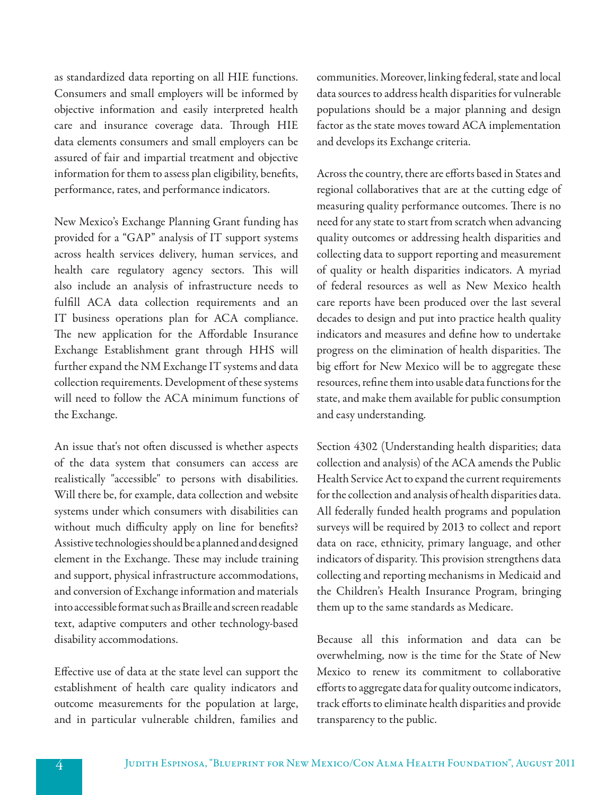as standardized data reporting on all HIE functions. Consumers and small employers will be informed by objective information and easily interpreted health care and insurance coverage data. Through HIE data elements consumers and small employers can be assured of fair and impartial treatment and objective information for them to assess plan eligibility, benefits, performance, rates, and performance indicators.

New Mexico's Exchange Planning Grant funding has provided for a "GAP" analysis of IT support systems across health services delivery, human services, and health care regulatory agency sectors. This will also include an analysis of infrastructure needs to fulfill ACA data collection requirements and an IT business operations plan for ACA compliance. The new application for the Affordable Insurance Exchange Establishment grant through HHS will further expand the NM Exchange IT systems and data collection requirements. Development of these systems will need to follow the ACA minimum functions of the Exchange.

An issue that's not often discussed is whether aspects of the data system that consumers can access are realistically "accessible" to persons with disabilities. Will there be, for example, data collection and website systems under which consumers with disabilities can without much difficulty apply on line for benefits? Assistive technologies should be a planned and designed element in the Exchange. These may include training and support, physical infrastructure accommodations, and conversion of Exchange information and materials into accessible format such as Braille and screen readable text, adaptive computers and other technology-based disability accommodations.

Effective use of data at the state level can support the establishment of health care quality indicators and outcome measurements for the population at large, and in particular vulnerable children, families and communities. Moreover, linking federal, state and local data sources to address health disparities for vulnerable populations should be a major planning and design factor as the state moves toward ACA implementation and develops its Exchange criteria.

Across the country, there are efforts based in States and regional collaboratives that are at the cutting edge of measuring quality performance outcomes. There is no need for any state to start from scratch when advancing quality outcomes or addressing health disparities and collecting data to support reporting and measurement of quality or health disparities indicators. A myriad of federal resources as well as New Mexico health care reports have been produced over the last several decades to design and put into practice health quality indicators and measures and define how to undertake progress on the elimination of health disparities. The big effort for New Mexico will be to aggregate these resources, refine them into usable data functions for the state, and make them available for public consumption and easy understanding.

Section 4302 (Understanding health disparities; data collection and analysis) of the ACA amends the Public Health Service Act to expand the current requirements for the collection and analysis of health disparities data. All federally funded health programs and population surveys will be required by 2013 to collect and report data on race, ethnicity, primary language, and other indicators of disparity. This provision strengthens data collecting and reporting mechanisms in Medicaid and the Children's Health Insurance Program, bringing them up to the same standards as Medicare.

Because all this information and data can be overwhelming, now is the time for the State of New Mexico to renew its commitment to collaborative efforts to aggregate data for quality outcome indicators, track efforts to eliminate health disparities and provide transparency to the public.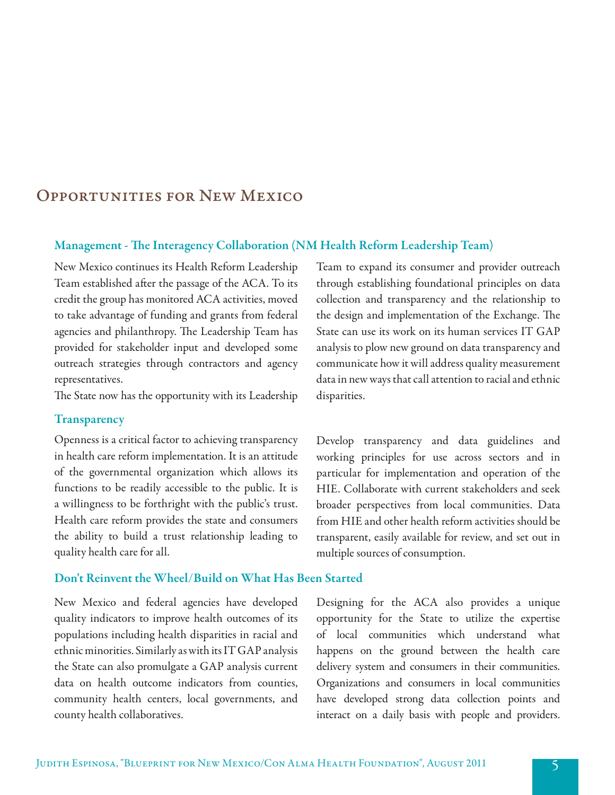### Opportunities for New Mexico

### Management - The Interagency Collaboration (NM Health Reform Leadership Team)

New Mexico continues its Health Reform Leadership Team established after the passage of the ACA. To its credit the group has monitored ACA activities, moved to take advantage of funding and grants from federal agencies and philanthropy. The Leadership Team has provided for stakeholder input and developed some outreach strategies through contractors and agency representatives.

The State now has the opportunity with its Leadership

### **Transparency**

Openness is a critical factor to achieving transparency in health care reform implementation. It is an attitude of the governmental organization which allows its functions to be readily accessible to the public. It is a willingness to be forthright with the public's trust. Health care reform provides the state and consumers the ability to build a trust relationship leading to quality health care for all.

### Don't Reinvent the Wheel/Build on What Has Been Started

New Mexico and federal agencies have developed quality indicators to improve health outcomes of its populations including health disparities in racial and ethnic minorities. Similarly as with its IT GAP analysis the State can also promulgate a GAP analysis current data on health outcome indicators from counties, community health centers, local governments, and county health collaboratives.

Team to expand its consumer and provider outreach through establishing foundational principles on data collection and transparency and the relationship to the design and implementation of the Exchange. The State can use its work on its human services IT GAP analysis to plow new ground on data transparency and communicate how it will address quality measurement data in new ways that call attention to racial and ethnic disparities.

Develop transparency and data guidelines and working principles for use across sectors and in particular for implementation and operation of the HIE. Collaborate with current stakeholders and seek broader perspectives from local communities. Data from HIE and other health reform activities should be transparent, easily available for review, and set out in multiple sources of consumption.

Designing for the ACA also provides a unique opportunity for the State to utilize the expertise of local communities which understand what happens on the ground between the health care delivery system and consumers in their communities. Organizations and consumers in local communities have developed strong data collection points and interact on a daily basis with people and providers.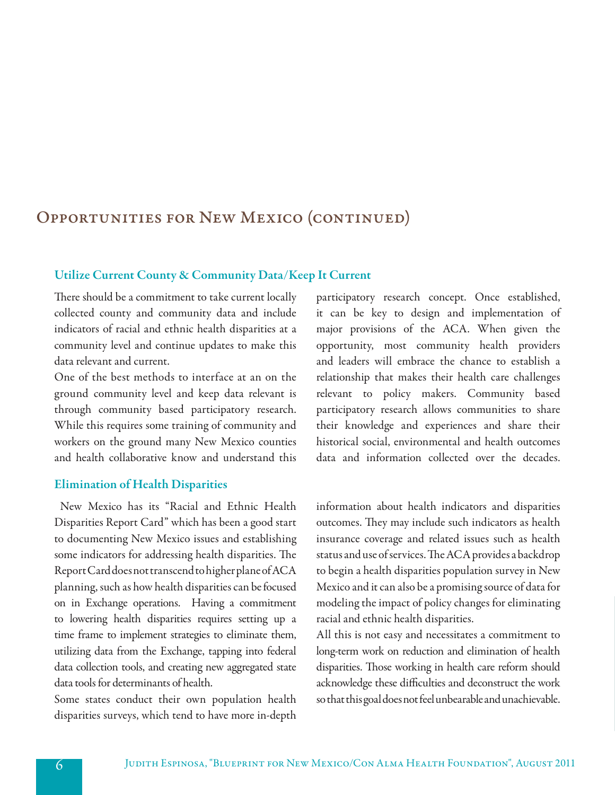## Opportunities for New Mexico (continued)

### Utilize Current County & Community Data/Keep It Current

There should be a commitment to take current locally collected county and community data and include indicators of racial and ethnic health disparities at a community level and continue updates to make this data relevant and current.

One of the best methods to interface at an on the ground community level and keep data relevant is through community based participatory research. While this requires some training of community and workers on the ground many New Mexico counties and health collaborative know and understand this

### Elimination of Health Disparities

 New Mexico has its "Racial and Ethnic Health Disparities Report Card" which has been a good start to documenting New Mexico issues and establishing some indicators for addressing health disparities. The Report Card does not transcend to higher plane of ACA planning, such as how health disparities can be focused on in Exchange operations. Having a commitment to lowering health disparities requires setting up a time frame to implement strategies to eliminate them, utilizing data from the Exchange, tapping into federal data collection tools, and creating new aggregated state data tools for determinants of health.

Some states conduct their own population health disparities surveys, which tend to have more in-depth participatory research concept. Once established, it can be key to design and implementation of major provisions of the ACA. When given the opportunity, most community health providers and leaders will embrace the chance to establish a relationship that makes their health care challenges relevant to policy makers. Community based participatory research allows communities to share their knowledge and experiences and share their historical social, environmental and health outcomes data and information collected over the decades.

information about health indicators and disparities outcomes. They may include such indicators as health insurance coverage and related issues such as health status and use of services. The ACA provides a backdrop to begin a health disparities population survey in New Mexico and it can also be a promising source of data for modeling the impact of policy changes for eliminating racial and ethnic health disparities.

All this is not easy and necessitates a commitment to long-term work on reduction and elimination of health disparities. Those working in health care reform should acknowledge these difficulties and deconstruct the work so that this goal does not feel unbearable and unachievable.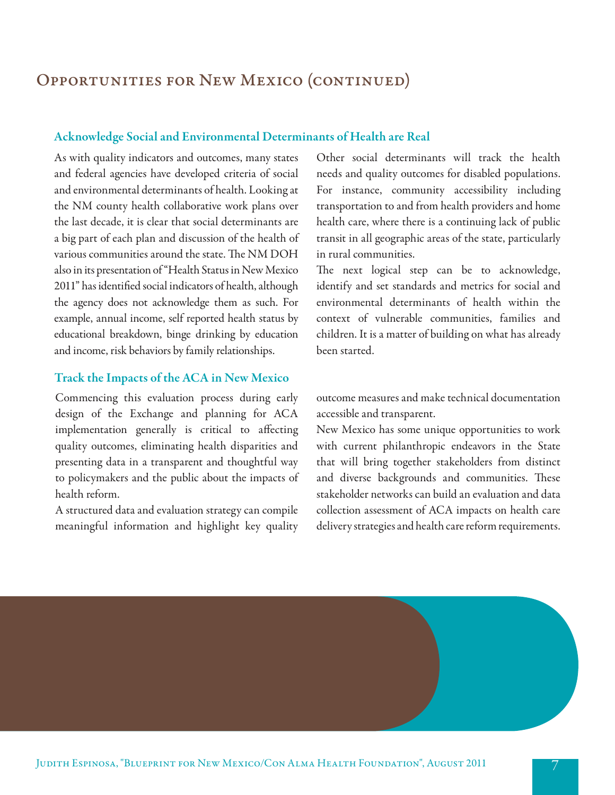## Opportunities for New Mexico (continued)

### Acknowledge Social and Environmental Determinants of Health are Real

As with quality indicators and outcomes, many states and federal agencies have developed criteria of social and environmental determinants of health. Looking at the NM county health collaborative work plans over the last decade, it is clear that social determinants are a big part of each plan and discussion of the health of various communities around the state. The NM DOH also in its presentation of "Health Status in New Mexico 2011" has identified social indicators of health, although the agency does not acknowledge them as such. For example, annual income, self reported health status by educational breakdown, binge drinking by education and income, risk behaviors by family relationships.

### Track the Impacts of the ACA in New Mexico

Commencing this evaluation process during early design of the Exchange and planning for ACA implementation generally is critical to affecting quality outcomes, eliminating health disparities and presenting data in a transparent and thoughtful way to policymakers and the public about the impacts of health reform.

A structured data and evaluation strategy can compile meaningful information and highlight key quality

Other social determinants will track the health needs and quality outcomes for disabled populations. For instance, community accessibility including transportation to and from health providers and home health care, where there is a continuing lack of public transit in all geographic areas of the state, particularly in rural communities.

The next logical step can be to acknowledge, identify and set standards and metrics for social and environmental determinants of health within the context of vulnerable communities, families and children. It is a matter of building on what has already been started.

outcome measures and make technical documentation accessible and transparent.

New Mexico has some unique opportunities to work with current philanthropic endeavors in the State that will bring together stakeholders from distinct and diverse backgrounds and communities. These stakeholder networks can build an evaluation and data collection assessment of ACA impacts on health care delivery strategies and health care reform requirements.

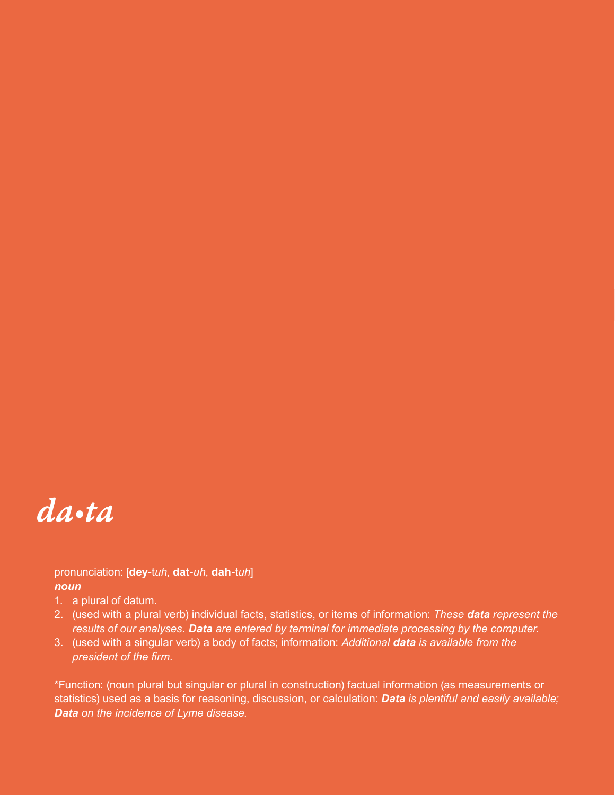

pronunciation: [**dey**-t*uh*, **dat**-*uh*, **dah**-t*uh*] *noun*

- 1. a plural of datum.
- 2. (used with a plural verb) individual facts, statistics, or items of information: *These data represent the results of our analyses. Data are entered by terminal for immediate processing by the computer.*
- 3. (used with a singular verb) a body of facts; information: *Additional data is available from the president of the firm.*

\*Function: (noun plural but singular or plural in construction) factual information (as measurements or statistics) used as a basis for reasoning, discussion, or calculation: *Data is plentiful and easily available; Data on the incidence of Lyme disease.*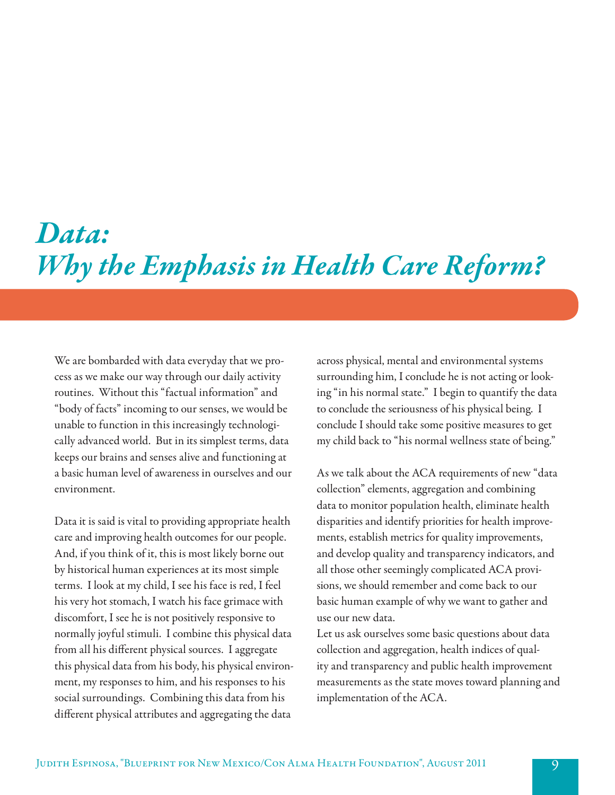## *Data: Why the Emphasis in Health Care Reform?*

We are bombarded with data everyday that we process as we make our way through our daily activity routines. Without this "factual information" and "body of facts" incoming to our senses, we would be unable to function in this increasingly technologically advanced world. But in its simplest terms, data keeps our brains and senses alive and functioning at a basic human level of awareness in ourselves and our environment.

Data it is said is vital to providing appropriate health care and improving health outcomes for our people. And, if you think of it, this is most likely borne out by historical human experiences at its most simple terms. I look at my child, I see his face is red, I feel his very hot stomach, I watch his face grimace with discomfort, I see he is not positively responsive to normally joyful stimuli. I combine this physical data from all his different physical sources. I aggregate this physical data from his body, his physical environment, my responses to him, and his responses to his social surroundings. Combining this data from his different physical attributes and aggregating the data

across physical, mental and environmental systems surrounding him, I conclude he is not acting or looking "in his normal state." I begin to quantify the data to conclude the seriousness of his physical being. I conclude I should take some positive measures to get my child back to "his normal wellness state of being."

As we talk about the ACA requirements of new "data collection" elements, aggregation and combining data to monitor population health, eliminate health disparities and identify priorities for health improvements, establish metrics for quality improvements, and develop quality and transparency indicators, and all those other seemingly complicated ACA provisions, we should remember and come back to our basic human example of why we want to gather and use our new data.

Let us ask ourselves some basic questions about data collection and aggregation, health indices of quality and transparency and public health improvement measurements as the state moves toward planning and implementation of the ACA.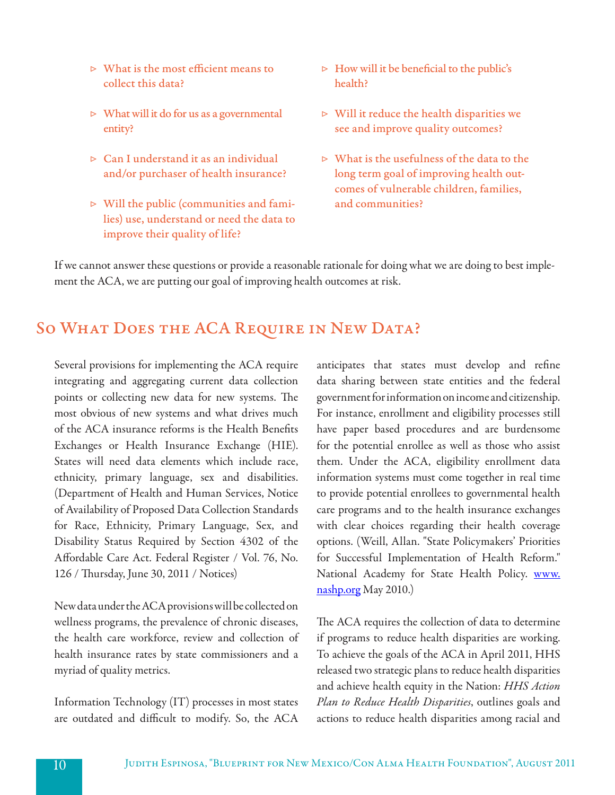- $\triangleright$  What is the most efficient means to collect this data?
- $\triangleright$  What will it do for us as a governmental entity?
- ▷ Can I understand it as an individual and/or purchaser of health insurance?
- ▷ Will the public (communities and families) use, understand or need the data to improve their quality of life?
- $\triangleright$  How will it be beneficial to the public's health?
- $\triangleright$  Will it reduce the health disparities we see and improve quality outcomes?
- $\triangleright$  What is the usefulness of the data to the long term goal of improving health outcomes of vulnerable children, families, and communities?

If we cannot answer these questions or provide a reasonable rationale for doing what we are doing to best implement the ACA, we are putting our goal of improving health outcomes at risk.

### SO WHAT DOES THE ACA REQUIRE IN NEW DATA?

Several provisions for implementing the ACA require integrating and aggregating current data collection points or collecting new data for new systems. The most obvious of new systems and what drives much of the ACA insurance reforms is the Health Benefits Exchanges or Health Insurance Exchange (HIE). States will need data elements which include race, ethnicity, primary language, sex and disabilities. (Department of Health and Human Services, Notice of Availability of Proposed Data Collection Standards for Race, Ethnicity, Primary Language, Sex, and Disability Status Required by Section 4302 of the Affordable Care Act. Federal Register / Vol. 76, No. 126 / Thursday, June 30, 2011 / Notices)

New data under the ACA provisions will be collected on wellness programs, the prevalence of chronic diseases, the health care workforce, review and collection of health insurance rates by state commissioners and a myriad of quality metrics.

Information Technology (IT) processes in most states are outdated and difficult to modify. So, the ACA

anticipates that states must develop and refine data sharing between state entities and the federal government for information on income and citizenship. For instance, enrollment and eligibility processes still have paper based procedures and are burdensome for the potential enrollee as well as those who assist them. Under the ACA, eligibility enrollment data information systems must come together in real time to provide potential enrollees to governmental health care programs and to the health insurance exchanges with clear choices regarding their health coverage options. (Weill, Allan. "State Policymakers' Priorities for Successful Implementation of Health Reform." National Academy for State Health Policy. www. nashp.org May 2010.)

The ACA requires the collection of data to determine if programs to reduce health disparities are working. To achieve the goals of the ACA in April 2011, HHS released two strategic plans to reduce health disparities and achieve health equity in the Nation: *HHS Action Plan to Reduce Health Disparities*, outlines goals and actions to reduce health disparities among racial and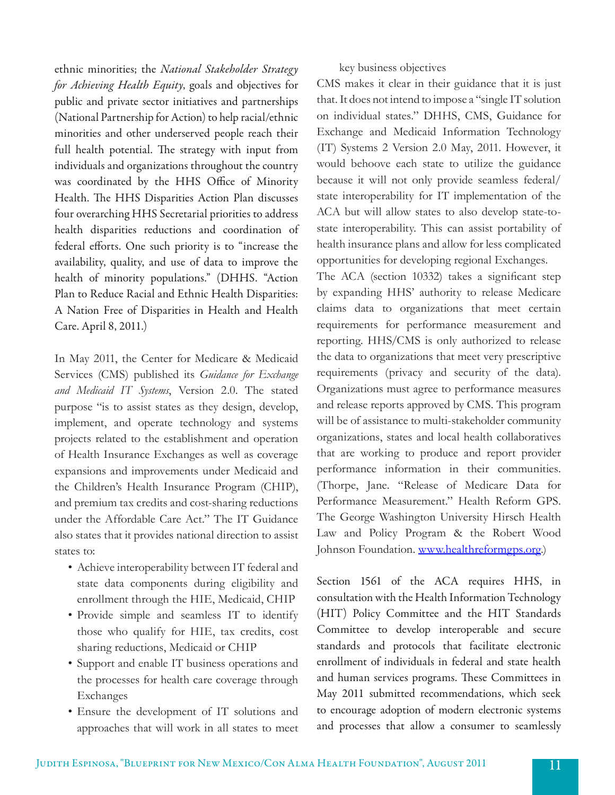ethnic minorities; the *National Stakeholder Strategy for Achieving Health Equity*, goals and objectives for public and private sector initiatives and partnerships (National Partnership for Action) to help racial/ethnic minorities and other underserved people reach their full health potential. The strategy with input from individuals and organizations throughout the country was coordinated by the HHS Office of Minority Health. The HHS Disparities Action Plan discusses four overarching HHS Secretarial priorities to address health disparities reductions and coordination of federal efforts. One such priority is to "increase the availability, quality, and use of data to improve the health of minority populations." (DHHS. "Action Plan to Reduce Racial and Ethnic Health Disparities: A Nation Free of Disparities in Health and Health Care. April 8, 2011.)

In May 2011, the Center for Medicare & Medicaid Services (CMS) published its *Guidance for Exchange and Medicaid IT Systems*, Version 2.0. The stated purpose "is to assist states as they design, develop, implement, and operate technology and systems projects related to the establishment and operation of Health Insurance Exchanges as well as coverage expansions and improvements under Medicaid and the Children's Health Insurance Program (CHIP), and premium tax credits and cost-sharing reductions under the Affordable Care Act." The IT Guidance also states that it provides national direction to assist states to:

- Achieve interoperability between IT federal and state data components during eligibility and enrollment through the HIE, Medicaid, CHIP
- Provide simple and seamless IT to identify those who qualify for HIE, tax credits, cost sharing reductions, Medicaid or CHIP
- Support and enable IT business operations and the processes for health care coverage through Exchanges
- • Ensure the development of IT solutions and approaches that will work in all states to meet

### key business objectives

CMS makes it clear in their guidance that it is just that. It does not intend to impose a "single IT solution on individual states." DHHS, CMS, Guidance for Exchange and Medicaid Information Technology (IT) Systems 2 Version 2.0 May, 2011. However, it would behoove each state to utilize the guidance because it will not only provide seamless federal/ state interoperability for IT implementation of the ACA but will allow states to also develop state-tostate interoperability. This can assist portability of health insurance plans and allow for less complicated opportunities for developing regional Exchanges.

The ACA (section 10332) takes a significant step by expanding HHS' authority to release Medicare claims data to organizations that meet certain requirements for performance measurement and reporting. HHS/CMS is only authorized to release the data to organizations that meet very prescriptive requirements (privacy and security of the data). Organizations must agree to performance measures and release reports approved by CMS. This program will be of assistance to multi-stakeholder community organizations, states and local health collaboratives that are working to produce and report provider performance information in their communities. (Thorpe, Jane. "Release of Medicare Data for Performance Measurement." Health Reform GPS. The George Washington University Hirsch Health Law and Policy Program & the Robert Wood Johnson Foundation. www.healthreformgps.org.)

Section 1561 of the ACA requires HHS, in consultation with the Health Information Technology (HIT) Policy Committee and the HIT Standards Committee to develop interoperable and secure standards and protocols that facilitate electronic enrollment of individuals in federal and state health and human services programs. These Committees in May 2011 submitted recommendations, which seek to encourage adoption of modern electronic systems and processes that allow a consumer to seamlessly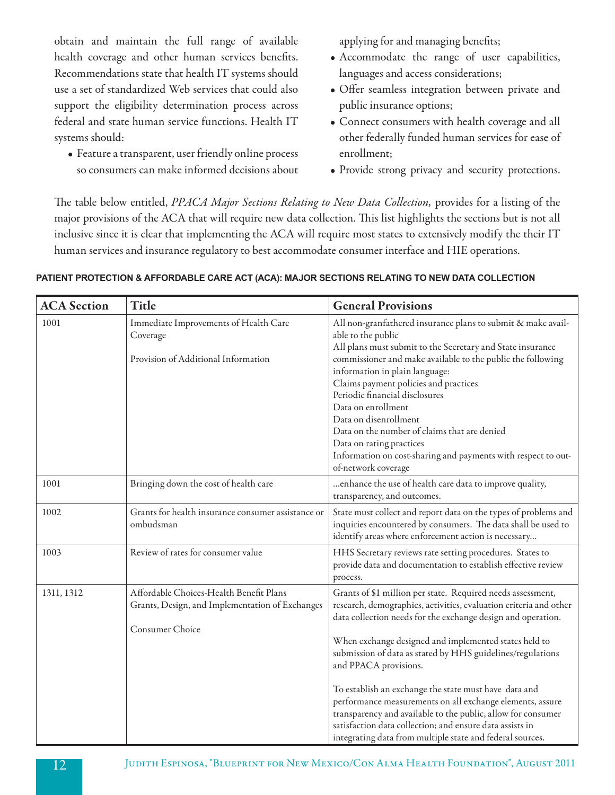obtain and maintain the full range of available health coverage and other human services benefits. Recommendations state that health IT systems should use a set of standardized Web services that could also support the eligibility determination process across federal and state human service functions. Health IT systems should:

• Feature a transparent, user friendly online process so consumers can make informed decisions about applying for and managing benefits;

- • Accommodate the range of user capabilities, languages and access considerations;
- • Offer seamless integration between private and public insurance options;
- • Connect consumers with health coverage and all other federally funded human services for ease of enrollment;
- Provide strong privacy and security protections.

The table below entitled, *PPACA Major Sections Relating to New Data Collection,* provides for a listing of the major provisions of the ACA that will require new data collection. This list highlights the sections but is not all inclusive since it is clear that implementing the ACA will require most states to extensively modify the their IT human services and insurance regulatory to best accommodate consumer interface and HIE operations.

| <b>ACA</b> Section | <b>Title</b>                                                                                                  | <b>General Provisions</b>                                                                                                                                                                                                                                                                                                                                                                                                                                                                                                                                                                                                                                       |
|--------------------|---------------------------------------------------------------------------------------------------------------|-----------------------------------------------------------------------------------------------------------------------------------------------------------------------------------------------------------------------------------------------------------------------------------------------------------------------------------------------------------------------------------------------------------------------------------------------------------------------------------------------------------------------------------------------------------------------------------------------------------------------------------------------------------------|
| 1001               | Immediate Improvements of Health Care<br>Coverage<br>Provision of Additional Information                      | All non-granfathered insurance plans to submit & make avail-<br>able to the public<br>All plans must submit to the Secretary and State insurance<br>commissioner and make available to the public the following<br>information in plain language:<br>Claims payment policies and practices<br>Periodic financial disclosures<br>Data on enrollment<br>Data on disenrollment<br>Data on the number of claims that are denied<br>Data on rating practices<br>Information on cost-sharing and payments with respect to out-<br>of-network coverage                                                                                                                 |
| 1001               | Bringing down the cost of health care                                                                         | enhance the use of health care data to improve quality,<br>transparency, and outcomes.                                                                                                                                                                                                                                                                                                                                                                                                                                                                                                                                                                          |
| 1002               | Grants for health insurance consumer assistance or<br>ombudsman                                               | State must collect and report data on the types of problems and<br>inquiries encountered by consumers. The data shall be used to<br>identify areas where enforcement action is necessary                                                                                                                                                                                                                                                                                                                                                                                                                                                                        |
| 1003               | Review of rates for consumer value                                                                            | HHS Secretary reviews rate setting procedures. States to<br>provide data and documentation to establish effective review<br>process.                                                                                                                                                                                                                                                                                                                                                                                                                                                                                                                            |
| 1311, 1312         | Affordable Choices-Health Benefit Plans<br>Grants, Design, and Implementation of Exchanges<br>Consumer Choice | Grants of \$1 million per state. Required needs assessment,<br>research, demographics, activities, evaluation criteria and other<br>data collection needs for the exchange design and operation.<br>When exchange designed and implemented states held to<br>submission of data as stated by HHS guidelines/regulations<br>and PPACA provisions.<br>To establish an exchange the state must have data and<br>performance measurements on all exchange elements, assure<br>transparency and available to the public, allow for consumer<br>satisfaction data collection; and ensure data assists in<br>integrating data from multiple state and federal sources. |

### **PATIENT PROTECTION & AFFORDABLE CARE ACT (ACA): MAJOR SECTIONS RELATING TO NEW DATA COLLECTION**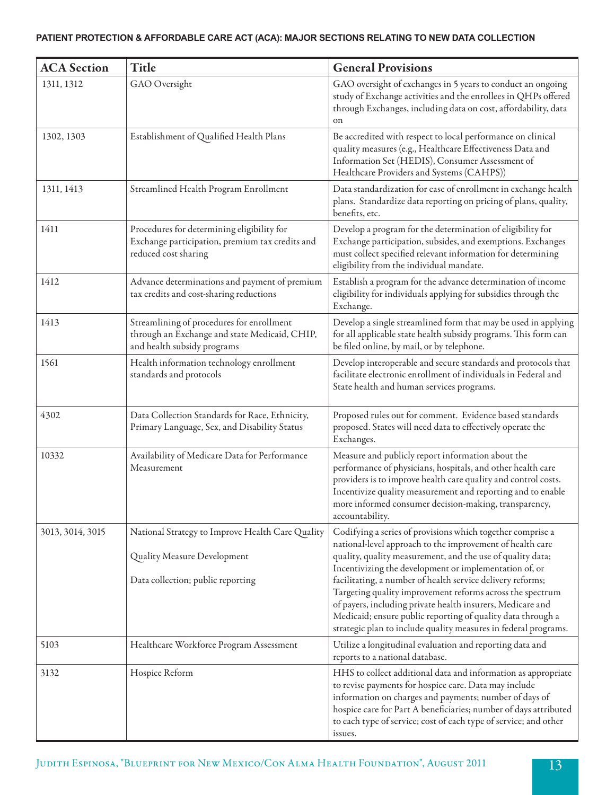### **PATIENT PROTECTION & AFFORDABLE CARE ACT (ACA): MAJOR SECTIONS RELATING TO NEW DATA COLLECTION**

| <b>ACA</b> Section | Title                                                                                                                     | <b>General Provisions</b>                                                                                                                                                                                                                                                                                                                                                                                                                                                                                                                                                  |
|--------------------|---------------------------------------------------------------------------------------------------------------------------|----------------------------------------------------------------------------------------------------------------------------------------------------------------------------------------------------------------------------------------------------------------------------------------------------------------------------------------------------------------------------------------------------------------------------------------------------------------------------------------------------------------------------------------------------------------------------|
| 1311, 1312         | GAO Oversight                                                                                                             | GAO oversight of exchanges in 5 years to conduct an ongoing<br>study of Exchange activities and the enrollees in QHPs offered<br>through Exchanges, including data on cost, affordability, data<br>on                                                                                                                                                                                                                                                                                                                                                                      |
| 1302, 1303         | Establishment of Qualified Health Plans                                                                                   | Be accredited with respect to local performance on clinical<br>quality measures (e.g., Healthcare Effectiveness Data and<br>Information Set (HEDIS), Consumer Assessment of<br>Healthcare Providers and Systems (CAHPS))                                                                                                                                                                                                                                                                                                                                                   |
| 1311, 1413         | Streamlined Health Program Enrollment                                                                                     | Data standardization for ease of enrollment in exchange health<br>plans. Standardize data reporting on pricing of plans, quality,<br>benefits, etc.                                                                                                                                                                                                                                                                                                                                                                                                                        |
| 1411               | Procedures for determining eligibility for<br>Exchange participation, premium tax credits and<br>reduced cost sharing     | Develop a program for the determination of eligibility for<br>Exchange participation, subsides, and exemptions. Exchanges<br>must collect specified relevant information for determining<br>eligibility from the individual mandate.                                                                                                                                                                                                                                                                                                                                       |
| 1412               | Advance determinations and payment of premium<br>tax credits and cost-sharing reductions                                  | Establish a program for the advance determination of income<br>eligibility for individuals applying for subsidies through the<br>Exchange.                                                                                                                                                                                                                                                                                                                                                                                                                                 |
| 1413               | Streamlining of procedures for enrollment<br>through an Exchange and state Medicaid, CHIP,<br>and health subsidy programs | Develop a single streamlined form that may be used in applying<br>for all applicable state health subsidy programs. This form can<br>be filed online, by mail, or by telephone.                                                                                                                                                                                                                                                                                                                                                                                            |
| 1561               | Health information technology enrollment<br>standards and protocols                                                       | Develop interoperable and secure standards and protocols that<br>facilitate electronic enrollment of individuals in Federal and<br>State health and human services programs.                                                                                                                                                                                                                                                                                                                                                                                               |
| 4302               | Data Collection Standards for Race, Ethnicity,<br>Primary Language, Sex, and Disability Status                            | Proposed rules out for comment. Evidence based standards<br>proposed. States will need data to effectively operate the<br>Exchanges.                                                                                                                                                                                                                                                                                                                                                                                                                                       |
| 10332              | Availability of Medicare Data for Performance<br>Measurement                                                              | Measure and publicly report information about the<br>performance of physicians, hospitals, and other health care<br>providers is to improve health care quality and control costs.<br>Incentivize quality measurement and reporting and to enable<br>more informed consumer decision-making, transparency,<br>accountability.                                                                                                                                                                                                                                              |
| 3013, 3014, 3015   | National Strategy to Improve Health Care Quality<br>Quality Measure Development<br>Data collection; public reporting      | Codifying a series of provisions which together comprise a<br>national-level approach to the improvement of health care<br>quality, quality measurement, and the use of quality data;<br>Incentivizing the development or implementation of, or<br>facilitating, a number of health service delivery reforms;<br>Targeting quality improvement reforms across the spectrum<br>of payers, including private health insurers, Medicare and<br>Medicaid; ensure public reporting of quality data through a<br>strategic plan to include quality measures in federal programs. |
| 5103               | Healthcare Workforce Program Assessment                                                                                   | Utilize a longitudinal evaluation and reporting data and<br>reports to a national database.                                                                                                                                                                                                                                                                                                                                                                                                                                                                                |
| 3132               | Hospice Reform                                                                                                            | HHS to collect additional data and information as appropriate<br>to revise payments for hospice care. Data may include<br>information on charges and payments; number of days of<br>hospice care for Part A beneficiaries; number of days attributed<br>to each type of service; cost of each type of service; and other<br>issues.                                                                                                                                                                                                                                        |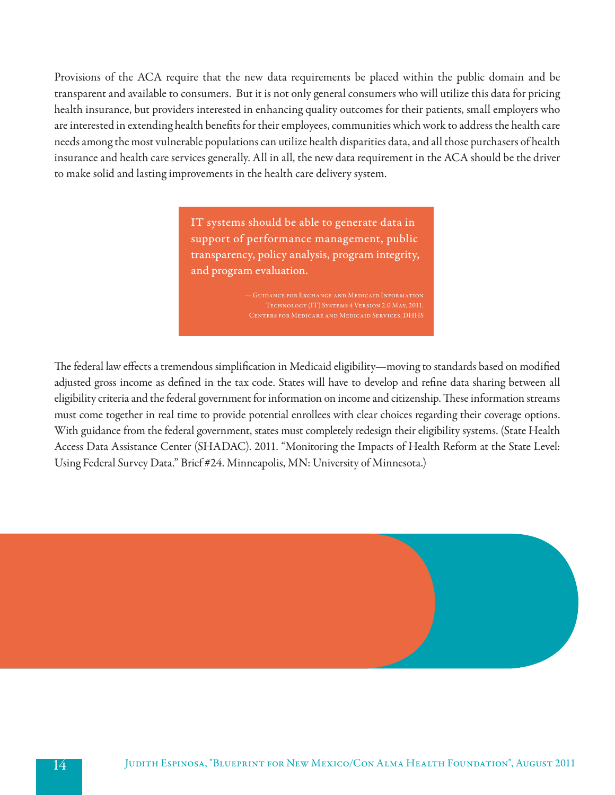Provisions of the ACA require that the new data requirements be placed within the public domain and be transparent and available to consumers. But it is not only general consumers who will utilize this data for pricing health insurance, but providers interested in enhancing quality outcomes for their patients, small employers who are interested in extending health benefits for their employees, communities which work to address the health care needs among the most vulnerable populations can utilize health disparities data, and all those purchasers of health insurance and health care services generally. All in all, the new data requirement in the ACA should be the driver to make solid and lasting improvements in the health care delivery system.

> IT systems should be able to generate data in support of performance management, public transparency, policy analysis, program integrity, and program evaluation.

The federal law effects a tremendous simplification in Medicaid eligibility—moving to standards based on modified adjusted gross income as defined in the tax code. States will have to develop and refine data sharing between all eligibility criteria and the federal government for information on income and citizenship. These information streams must come together in real time to provide potential enrollees with clear choices regarding their coverage options. With guidance from the federal government, states must completely redesign their eligibility systems. (State Health Access Data Assistance Center (SHADAC). 2011. "Monitoring the Impacts of Health Reform at the State Level: Using Federal Survey Data." Brief #24. Minneapolis, MN: University of Minnesota.)

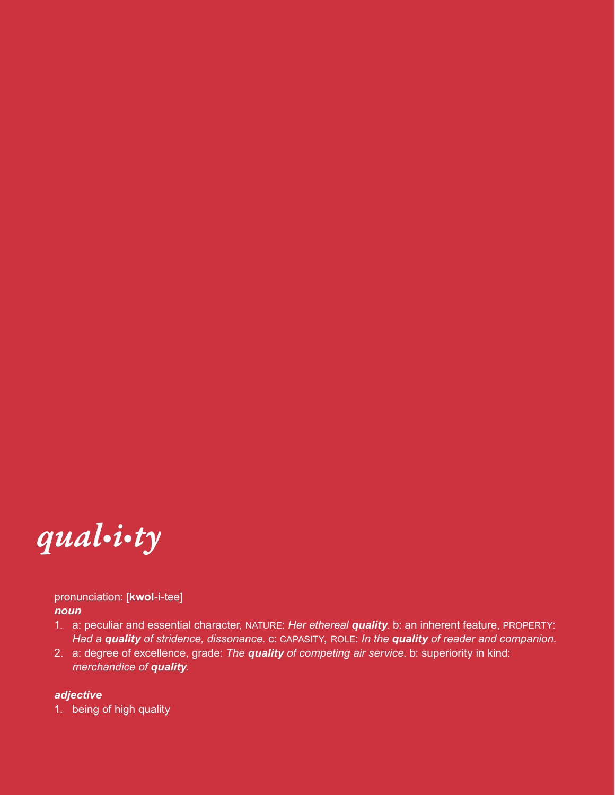

pronunciation: [**kwol**-i-tee] *noun*

- 1. a: peculiar and essential character, NATURE: *Her ethereal quality*. b: an inherent feature, PROPERTY: *Had a quality of stridence, dissonance*. c: capasity, role: *In the quality of reader and companion.*
- 2. a: degree of excellence, grade: *The quality of competing air service*. b: superiority in kind: *merchandice of quality.*

### *adjective*

1. being of high quality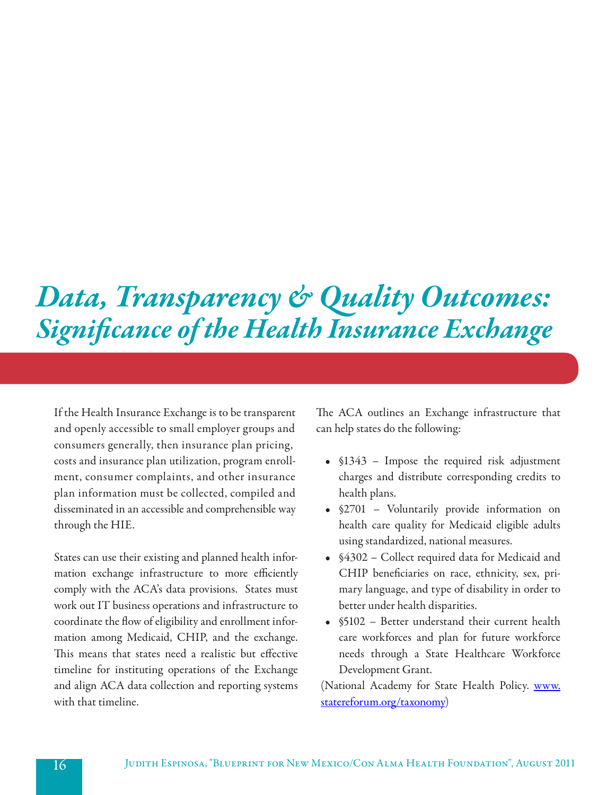## *Data, Transparency & Quality Outcomes: Significance of the Health Insurance Exchange*

If the Health Insurance Exchange is to be transparent and openly accessible to small employer groups and consumers generally, then insurance plan pricing, costs and insurance plan utilization, program enrollment, consumer complaints, and other insurance plan information must be collected, compiled and disseminated in an accessible and comprehensible way through the HIE.

States can use their existing and planned health information exchange infrastructure to more efficiently comply with the ACA's data provisions. States must work out IT business operations and infrastructure to coordinate the flow of eligibility and enrollment information among Medicaid, CHIP, and the exchange. This means that states need a realistic but effective timeline for instituting operations of the Exchange and align ACA data collection and reporting systems with that timeline.

The ACA outlines an Exchange infrastructure that can help states do the following:

- §1343 Impose the required risk adjustment charges and distribute corresponding credits to health plans.
- §2701 Voluntarily provide information on health care quality for Medicaid eligible adults using standardized, national measures.
- • §4302 Collect required data for Medicaid and CHIP beneficiaries on race, ethnicity, sex, primary language, and type of disability in order to better under health disparities.
- §5102 Better understand their current health care workforces and plan for future workforce needs through a State Healthcare Workforce Development Grant.

(National Academy for State Health Policy. www. statereforum.org/taxonomy)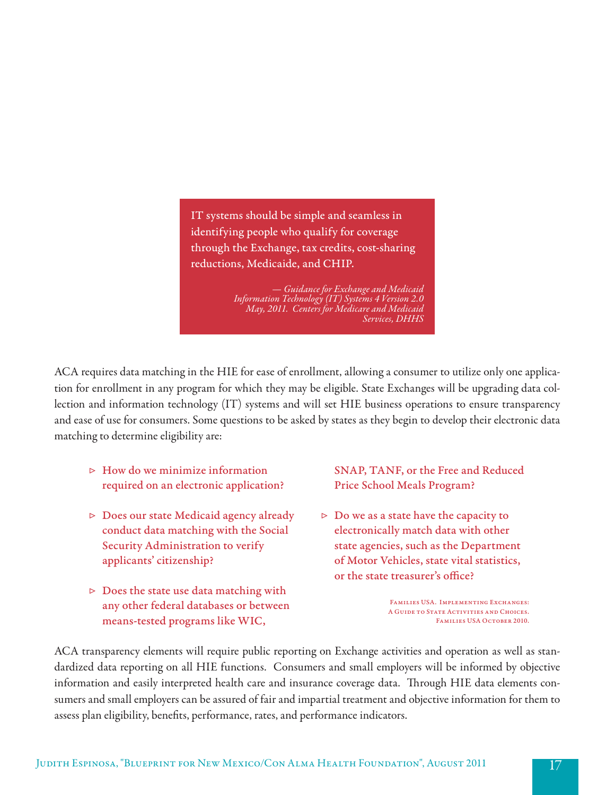IT systems should be simple and seamless in identifying people who qualify for coverage through the Exchange, tax credits, cost-sharing reductions, Medicaide, and CHIP.

> *— Guidance for Exchange and Medicaid Information Technology (IT) Systems 4 Version 2.0 May, 2011. Centers for Medicare and Medicaid Services, DHHS*

ACA requires data matching in the HIE for ease of enrollment, allowing a consumer to utilize only one application for enrollment in any program for which they may be eligible. State Exchanges will be upgrading data collection and information technology (IT) systems and will set HIE business operations to ensure transparency and ease of use for consumers. Some questions to be asked by states as they begin to develop their electronic data matching to determine eligibility are:

- $\triangleright$  How do we minimize information required on an electronic application?
- ▷ Does our state Medicaid agency already conduct data matching with the Social Security Administration to verify applicants' citizenship?
- $\triangleright$  Does the state use data matching with any other federal databases or between means-tested programs like WIC,

SNAP, TANF, or the Free and Reduced Price School Meals Program?

 $\triangleright$  Do we as a state have the capacity to electronically match data with other state agencies, such as the Department of Motor Vehicles, state vital statistics, or the state treasurer's office?

> FAMILIES USA. IMPLEMENTING EXCHANGES: A Guide to State Activities and Choices. FAMILIES USA OCTOBER 2010.

ACA transparency elements will require public reporting on Exchange activities and operation as well as standardized data reporting on all HIE functions. Consumers and small employers will be informed by objective information and easily interpreted health care and insurance coverage data. Through HIE data elements consumers and small employers can be assured of fair and impartial treatment and objective information for them to assess plan eligibility, benefits, performance, rates, and performance indicators.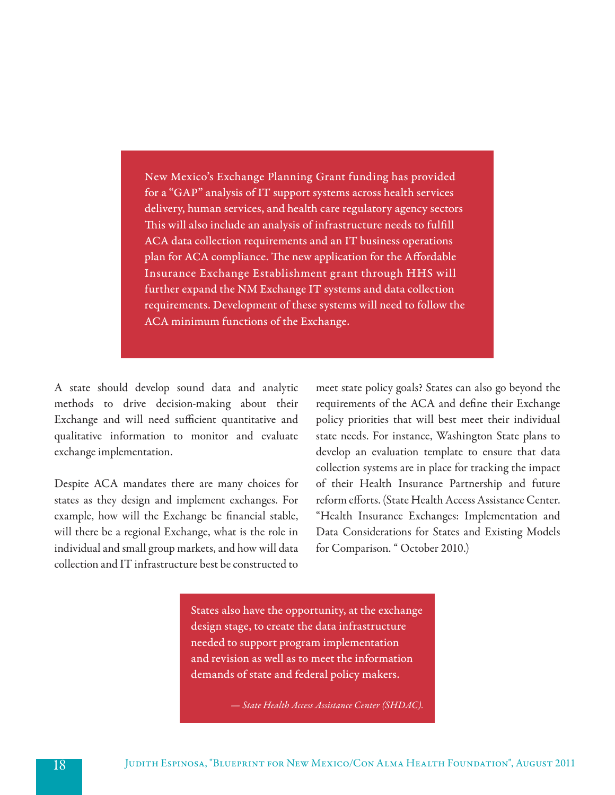New Mexico's Exchange Planning Grant funding has provided for a "GAP" analysis of IT support systems across health services delivery, human services, and health care regulatory agency sectors This will also include an analysis of infrastructure needs to fulfill ACA data collection requirements and an IT business operations plan for ACA compliance. The new application for the Affordable Insurance Exchange Establishment grant through HHS will further expand the NM Exchange IT systems and data collection requirements. Development of these systems will need to follow the ACA minimum functions of the Exchange.

A state should develop sound data and analytic methods to drive decision-making about their Exchange and will need sufficient quantitative and qualitative information to monitor and evaluate exchange implementation.

Despite ACA mandates there are many choices for states as they design and implement exchanges. For example, how will the Exchange be financial stable, will there be a regional Exchange, what is the role in individual and small group markets, and how will data collection and IT infrastructure best be constructed to meet state policy goals? States can also go beyond the requirements of the ACA and define their Exchange policy priorities that will best meet their individual state needs. For instance, Washington State plans to develop an evaluation template to ensure that data collection systems are in place for tracking the impact of their Health Insurance Partnership and future reform efforts. (State Health Access Assistance Center. "Health Insurance Exchanges: Implementation and Data Considerations for States and Existing Models for Comparison. " October 2010.)

States also have the opportunity, at the exchange design stage, to create the data infrastructure needed to support program implementation and revision as well as to meet the information demands of state and federal policy makers.

*— State Health Access Assistance Center (SHDAC).*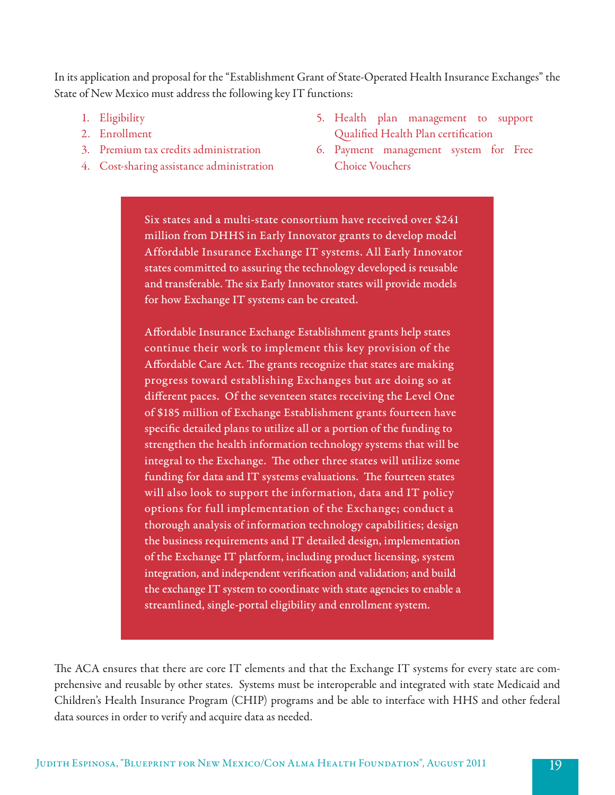In its application and proposal for the "Establishment Grant of State-Operated Health Insurance Exchanges" the State of New Mexico must address the following key IT functions:

- 1. Eligibility
- 2. Enrollment
- 3. Premium tax credits administration
- 4. Cost-sharing assistance administration
- 5. Health plan management to support Qualified Health Plan certification
- 6. Payment management system for Free Choice Vouchers

Six states and a multi-state consortium have received over \$241 million from DHHS in Early Innovator grants to develop model Affordable Insurance Exchange IT systems. All Early Innovator states committed to assuring the technology developed is reusable and transferable. The six Early Innovator states will provide models for how Exchange IT systems can be created.

Affordable Insurance Exchange Establishment grants help states continue their work to implement this key provision of the Affordable Care Act. The grants recognize that states are making progress toward establishing Exchanges but are doing so at different paces. Of the seventeen states receiving the Level One of \$185 million of Exchange Establishment grants fourteen have specific detailed plans to utilize all or a portion of the funding to strengthen the health information technology systems that will be integral to the Exchange. The other three states will utilize some funding for data and IT systems evaluations. The fourteen states will also look to support the information, data and IT policy options for full implementation of the Exchange; conduct a thorough analysis of information technology capabilities; design the business requirements and IT detailed design, implementation of the Exchange IT platform, including product licensing, system integration, and independent verification and validation; and build the exchange IT system to coordinate with state agencies to enable a streamlined, single-portal eligibility and enrollment system.

The ACA ensures that there are core IT elements and that the Exchange IT systems for every state are comprehensive and reusable by other states. Systems must be interoperable and integrated with state Medicaid and Children's Health Insurance Program (CHIP) programs and be able to interface with HHS and other federal data sources in order to verify and acquire data as needed.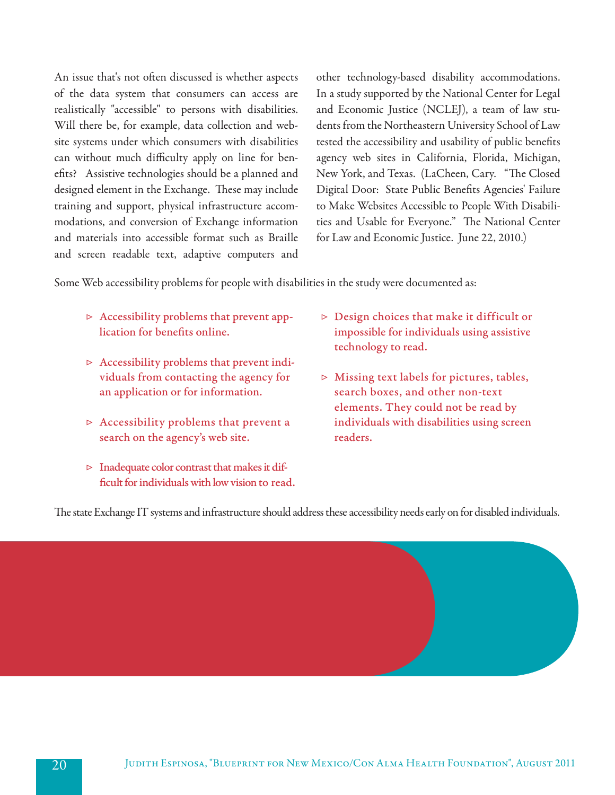An issue that's not often discussed is whether aspects of the data system that consumers can access are realistically "accessible" to persons with disabilities. Will there be, for example, data collection and website systems under which consumers with disabilities can without much difficulty apply on line for benefits? Assistive technologies should be a planned and designed element in the Exchange. These may include training and support, physical infrastructure accommodations, and conversion of Exchange information and materials into accessible format such as Braille and screen readable text, adaptive computers and other technology-based disability accommodations. In a study supported by the National Center for Legal and Economic Justice (NCLEJ), a team of law students from the Northeastern University School of Law tested the accessibility and usability of public benefits agency web sites in California, Florida, Michigan, New York, and Texas. (LaCheen, Cary. "The Closed Digital Door: State Public Benefits Agencies' Failure to Make Websites Accessible to People With Disabilities and Usable for Everyone." The National Center for Law and Economic Justice. June 22, 2010.)

Some Web accessibility problems for people with disabilities in the study were documented as:

- $\triangleright$  Accessibility problems that prevent application for benefits online.
- ▷ Accessibility problems that prevent individuals from contacting the agency for an application or for information.
- $\triangleright$  Accessibility problems that prevent a search on the agency's web site.
- ▷ Inadequate color contrast that makes it difficult for individuals with low vision to read.
- $\triangleright$  Design choices that make it difficult or impossible for individuals using assistive technology to read.
- ▷ Missing text labels for pictures, tables, search boxes, and other non-text elements. They could not be read by individuals with disabilities using screen readers.

The state Exchange IT systems and infrastructure should address these accessibility needs early on for disabled individuals.

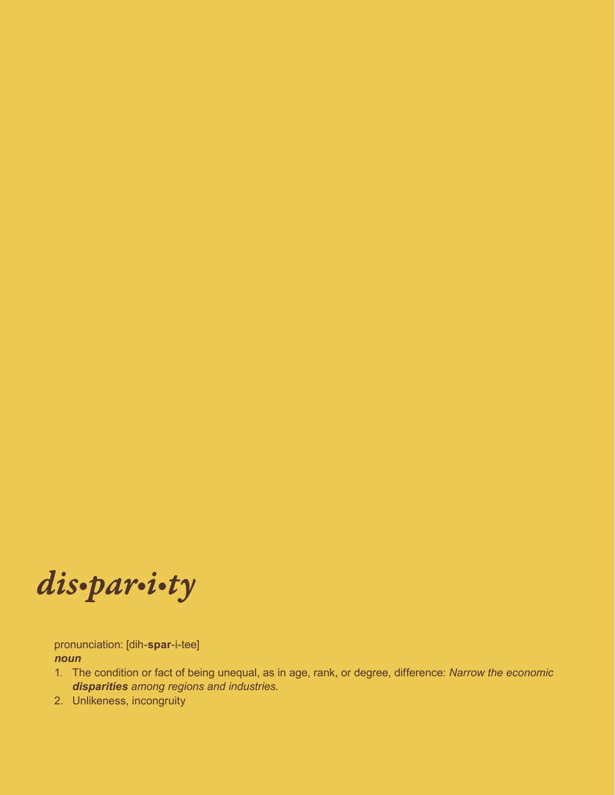*dis•par•i•ty*

pronunciation: [dih-**spar**-i-tee] *noun*

- 1. The condition or fact of being unequal, as in age, rank, or degree, difference: *Narrow the economic disparities among regions and industries*.
- 2. Unlikeness, incongruity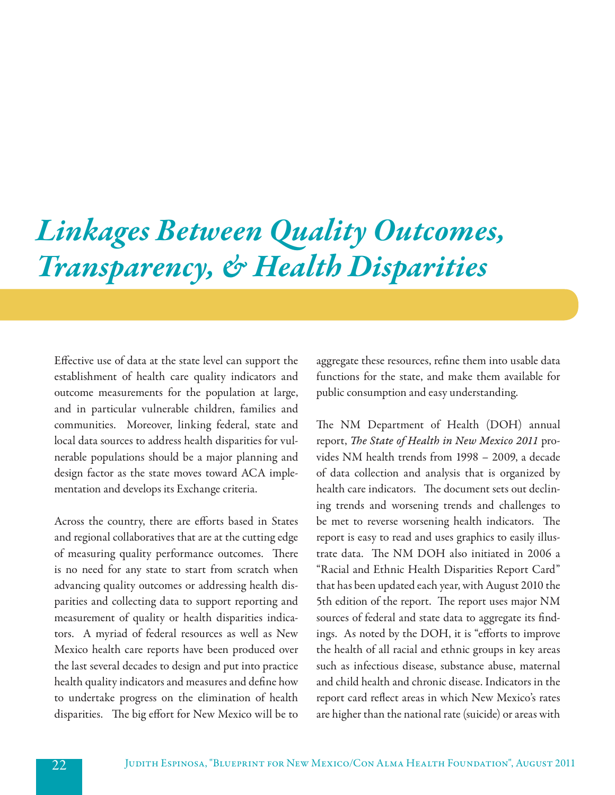# *Linkages Between Quality Outcomes, Transparency, & Health Disparities*

Effective use of data at the state level can support the establishment of health care quality indicators and outcome measurements for the population at large, and in particular vulnerable children, families and communities. Moreover, linking federal, state and local data sources to address health disparities for vulnerable populations should be a major planning and design factor as the state moves toward ACA implementation and develops its Exchange criteria.

Across the country, there are efforts based in States and regional collaboratives that are at the cutting edge of measuring quality performance outcomes. There is no need for any state to start from scratch when advancing quality outcomes or addressing health disparities and collecting data to support reporting and measurement of quality or health disparities indicators. A myriad of federal resources as well as New Mexico health care reports have been produced over the last several decades to design and put into practice health quality indicators and measures and define how to undertake progress on the elimination of health disparities. The big effort for New Mexico will be to

aggregate these resources, refine them into usable data functions for the state, and make them available for public consumption and easy understanding.

The NM Department of Health (DOH) annual report, *The State of Health in New Mexico 2011* provides NM health trends from 1998 – 2009, a decade of data collection and analysis that is organized by health care indicators. The document sets out declining trends and worsening trends and challenges to be met to reverse worsening health indicators. The report is easy to read and uses graphics to easily illustrate data. The NM DOH also initiated in 2006 a "Racial and Ethnic Health Disparities Report Card" that has been updated each year, with August 2010 the 5th edition of the report. The report uses major NM sources of federal and state data to aggregate its findings. As noted by the DOH, it is "efforts to improve the health of all racial and ethnic groups in key areas such as infectious disease, substance abuse, maternal and child health and chronic disease. Indicators in the report card reflect areas in which New Mexico's rates are higher than the national rate (suicide) or areas with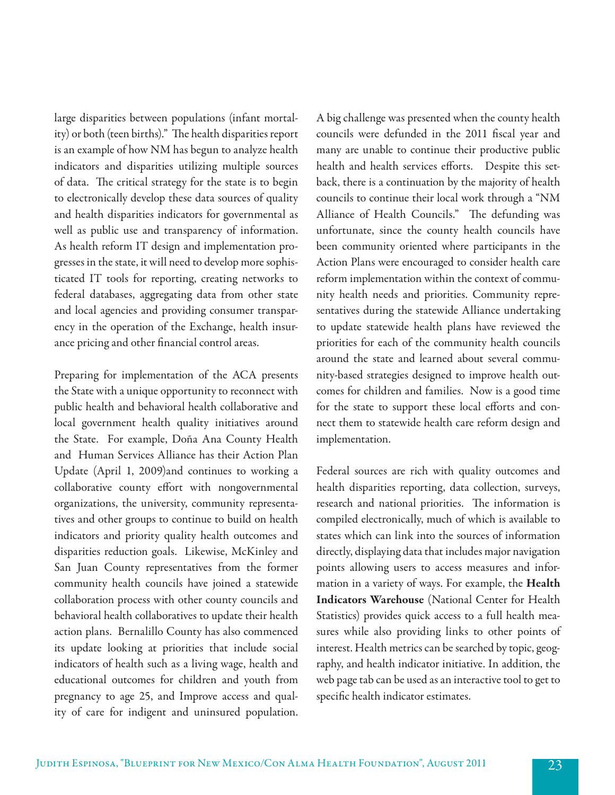large disparities between populations (infant mortality) or both (teen births)." The health disparities report is an example of how NM has begun to analyze health indicators and disparities utilizing multiple sources of data. The critical strategy for the state is to begin to electronically develop these data sources of quality and health disparities indicators for governmental as well as public use and transparency of information. As health reform IT design and implementation progresses in the state, it will need to develop more sophisticated IT tools for reporting, creating networks to federal databases, aggregating data from other state and local agencies and providing consumer transparency in the operation of the Exchange, health insurance pricing and other financial control areas.

Preparing for implementation of the ACA presents the State with a unique opportunity to reconnect with public health and behavioral health collaborative and local government health quality initiatives around the State. For example, Doña Ana County Health and Human Services Alliance has their Action Plan Update (April 1, 2009)and continues to working a collaborative county effort with nongovernmental organizations, the university, community representatives and other groups to continue to build on health indicators and priority quality health outcomes and disparities reduction goals. Likewise, McKinley and San Juan County representatives from the former community health councils have joined a statewide collaboration process with other county councils and behavioral health collaboratives to update their health action plans. Bernalillo County has also commenced its update looking at priorities that include social indicators of health such as a living wage, health and educational outcomes for children and youth from pregnancy to age 25, and Improve access and quality of care for indigent and uninsured population.

A big challenge was presented when the county health councils were defunded in the 2011 fiscal year and many are unable to continue their productive public health and health services efforts. Despite this setback, there is a continuation by the majority of health councils to continue their local work through a "NM Alliance of Health Councils." The defunding was unfortunate, since the county health councils have been community oriented where participants in the Action Plans were encouraged to consider health care reform implementation within the context of community health needs and priorities. Community representatives during the statewide Alliance undertaking to update statewide health plans have reviewed the priorities for each of the community health councils around the state and learned about several community-based strategies designed to improve health outcomes for children and families. Now is a good time for the state to support these local efforts and connect them to statewide health care reform design and implementation.

Federal sources are rich with quality outcomes and health disparities reporting, data collection, surveys, research and national priorities. The information is compiled electronically, much of which is available to states which can link into the sources of information directly, displaying data that includes major navigation points allowing users to access measures and information in a variety of ways. For example, the Health Indicators Warehouse (National Center for Health Statistics) provides quick access to a full health measures while also providing links to other points of interest. Health metrics can be searched by topic, geography, and health indicator initiative. In addition, the web page tab can be used as an interactive tool to get to specific health indicator estimates.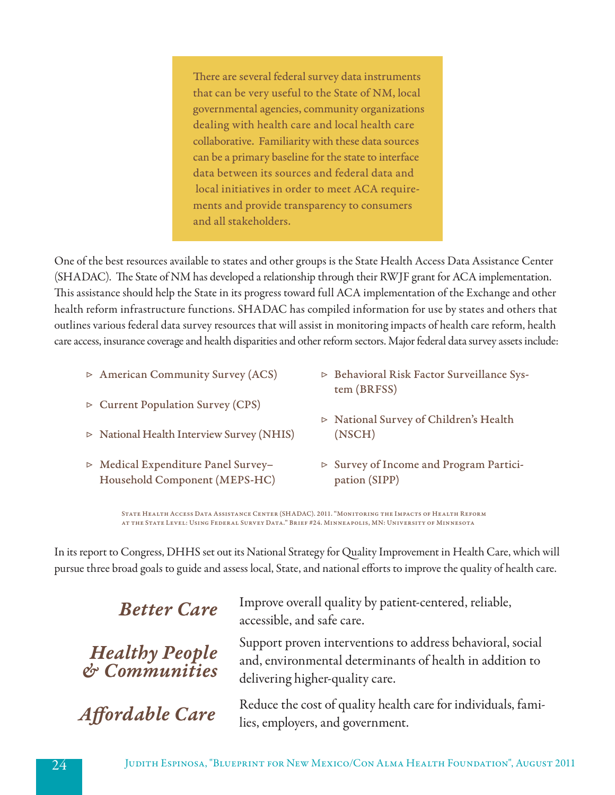There are several federal survey data instruments that can be very useful to the State of NM, local governmental agencies, community organizations dealing with health care and local health care collaborative. Familiarity with these data sources can be a primary baseline for the state to interface data between its sources and federal data and local initiatives in order to meet ACA requirements and provide transparency to consumers and all stakeholders.

One of the best resources available to states and other groups is the State Health Access Data Assistance Center (SHADAC). The State of NM has developed a relationship through their RWJF grant for ACA implementation. This assistance should help the State in its progress toward full ACA implementation of the Exchange and other health reform infrastructure functions. SHADAC has compiled information for use by states and others that outlines various federal data survey resources that will assist in monitoring impacts of health care reform, health care access, insurance coverage and health disparities and other reform sectors. Major federal data survey assets include:

- ▷ American Community Survey (ACS)
- ▷ Current Population Survey (CPS)
- ▷ National Health Interview Survey (NHIS)
- ▷ Medical Expenditure Panel Survey– Household Component (MEPS-HC)
- ▷ Behavioral Risk Factor Surveillance System (BRFSS)
- ▷ National Survey of Children's Health (NSCH)
- ▷ Survey of Income and Program Participation (SIPP)

State Health Access Data Assistance Center (SHADAC). 2011. "Monitoring the Impacts of Health Reform at the State Level: Using Federal Survey Data." Brief #24. Minneapolis, MN: University of Minnesota

In its report to Congress, DHHS set out its National Strategy for Quality Improvement in Health Care, which will pursue three broad goals to guide and assess local, State, and national efforts to improve the quality of health care.

*Healthy People & Communities*

**Better Care** Improve overall quality by patient-centered, reliable, accessible, and safe care.

> Support proven interventions to address behavioral, social and, environmental determinants of health in addition to delivering higher-quality care.

*Affordable Care* Reduce the cost of quality health care for individuals, families, employers, and government.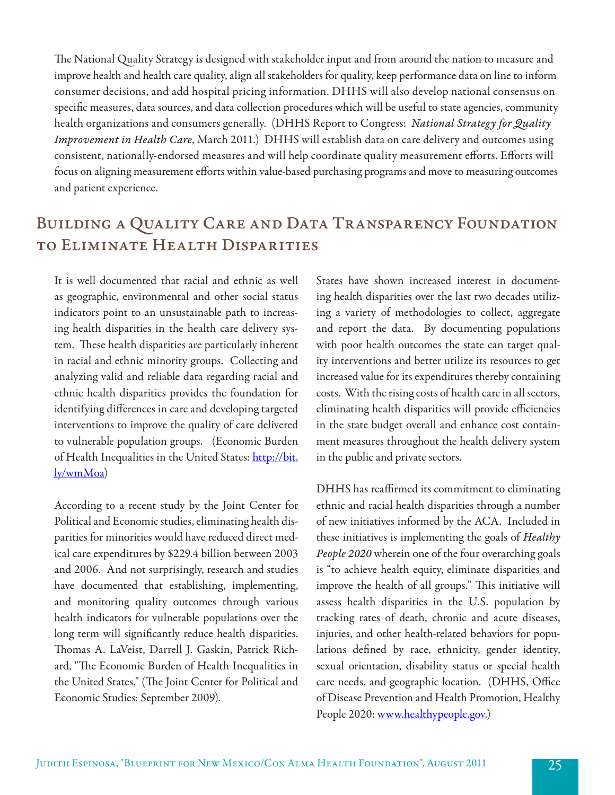The National Quality Strategy is designed with stakeholder input and from around the nation to measure and improve health and health care quality, align all stakeholders for quality, keep performance data on line to inform consumer decisions, and add hospital pricing information. DHHS will also develop national consensus on specific measures, data sources, and data collection procedures which will be useful to state agencies, community health organizations and consumers generally. (DHHS Report to Congress: *National Strategy for Quality Improvement in Health Care*, March 2011.) DHHS will establish data on care delivery and outcomes using consistent, nationally-endorsed measures and will help coordinate quality measurement efforts. Efforts will focus on aligning measurement efforts within value-based purchasing programs and move to measuring outcomes and patient experience.

## Building a Quality Care and Data Transparency Foundation to Eliminate Health Disparities

It is well documented that racial and ethnic as well as geographic, environmental and other social status indicators point to an unsustainable path to increasing health disparities in the health care delivery system. These health disparities are particularly inherent in racial and ethnic minority groups. Collecting and analyzing valid and reliable data regarding racial and ethnic health disparities provides the foundation for identifying differences in care and developing targeted interventions to improve the quality of care delivered to vulnerable population groups. (Economic Burden of Health Inequalities in the United States: http://bit. ly/wmMoa)

According to a recent study by the Joint Center for Political and Economic studies, eliminating health disparities for minorities would have reduced direct medical care expenditures by \$229.4 billion between 2003 and 2006. And not surprisingly, research and studies have documented that establishing, implementing, and monitoring quality outcomes through various health indicators for vulnerable populations over the long term will significantly reduce health disparities. Thomas A. LaVeist, Darrell J. Gaskin, Patrick Richard, "The Economic Burden of Health Inequalities in the United States," (The Joint Center for Political and Economic Studies: September 2009).

States have shown increased interest in documenting health disparities over the last two decades utilizing a variety of methodologies to collect, aggregate and report the data. By documenting populations with poor health outcomes the state can target quality interventions and better utilize its resources to get increased value for its expenditures thereby containing costs. With the rising costs of health care in all sectors, eliminating health disparities will provide efficiencies in the state budget overall and enhance cost containment measures throughout the health delivery system in the public and private sectors.

DHHS has reaffirmed its commitment to eliminating ethnic and racial health disparities through a number of new initiatives informed by the ACA. Included in these initiatives is implementing the goals of *Healthy People 2020* wherein one of the four overarching goals is "to achieve health equity, eliminate disparities and improve the health of all groups." This initiative will assess health disparities in the U.S. population by tracking rates of death, chronic and acute diseases, injuries, and other health-related behaviors for populations defined by race, ethnicity, gender identity, sexual orientation, disability status or special health care needs, and geographic location. (DHHS, Office of Disease Prevention and Health Promotion, Healthy People 2020: www.healthypeople.gov.)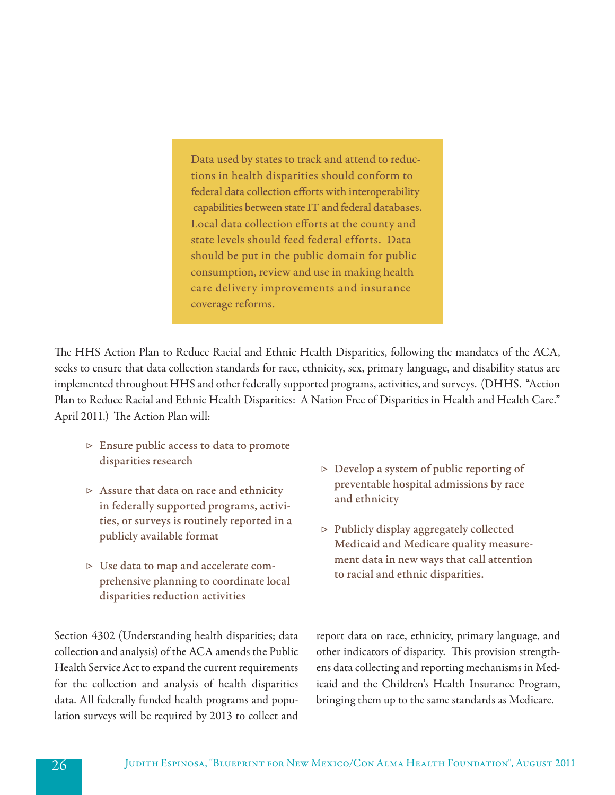Data used by states to track and attend to reductions in health disparities should conform to federal data collection efforts with interoperability capabilities between state IT and federal databases. Local data collection efforts at the county and state levels should feed federal efforts. Data should be put in the public domain for public consumption, review and use in making health care delivery improvements and insurance coverage reforms.

The HHS Action Plan to Reduce Racial and Ethnic Health Disparities, following the mandates of the ACA, seeks to ensure that data collection standards for race, ethnicity, sex, primary language, and disability status are implemented throughout HHS and other federally supported programs, activities, and surveys. (DHHS. "Action Plan to Reduce Racial and Ethnic Health Disparities: A Nation Free of Disparities in Health and Health Care." April 2011.) The Action Plan will:

- ▷ Ensure public access to data to promote disparities research
- ▷ Assure that data on race and ethnicity in federally supported programs, activities, or surveys is routinely reported in a publicly available format
- ▷ Use data to map and accelerate comprehensive planning to coordinate local disparities reduction activities

Section 4302 (Understanding health disparities; data collection and analysis) of the ACA amends the Public Health Service Act to expand the current requirements for the collection and analysis of health disparities data. All federally funded health programs and population surveys will be required by 2013 to collect and

- $\triangleright$  Develop a system of public reporting of preventable hospital admissions by race and ethnicity
- ▷ Publicly display aggregately collected Medicaid and Medicare quality measurement data in new ways that call attention to racial and ethnic disparities.

report data on race, ethnicity, primary language, and other indicators of disparity. This provision strengthens data collecting and reporting mechanisms in Medicaid and the Children's Health Insurance Program, bringing them up to the same standards as Medicare.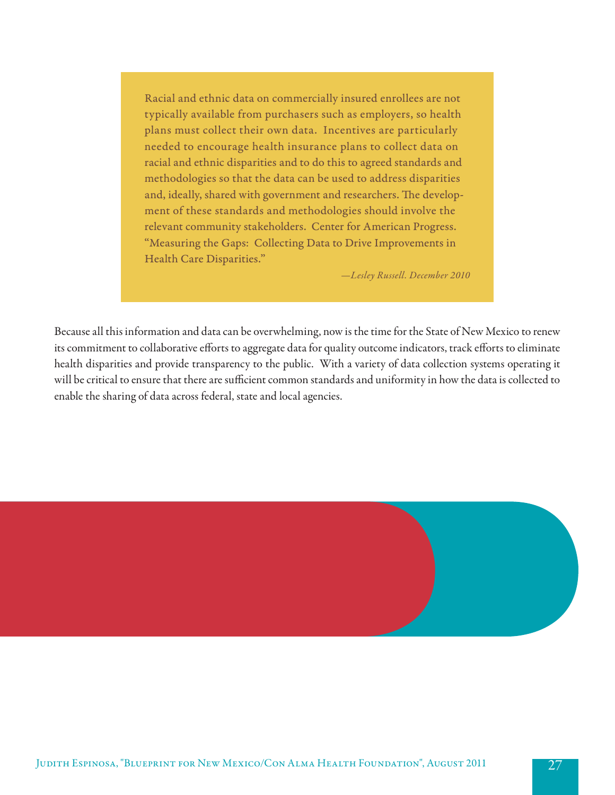Racial and ethnic data on commercially insured enrollees are not typically available from purchasers such as employers, so health plans must collect their own data. Incentives are particularly needed to encourage health insurance plans to collect data on racial and ethnic disparities and to do this to agreed standards and methodologies so that the data can be used to address disparities and, ideally, shared with government and researchers. The development of these standards and methodologies should involve the relevant community stakeholders. Center for American Progress. "Measuring the Gaps: Collecting Data to Drive Improvements in Health Care Disparities."

*—Lesley Russell. December 2010*

Because all this information and data can be overwhelming, now is the time for the State of New Mexico to renew its commitment to collaborative efforts to aggregate data for quality outcome indicators, track efforts to eliminate health disparities and provide transparency to the public. With a variety of data collection systems operating it will be critical to ensure that there are sufficient common standards and uniformity in how the data is collected to enable the sharing of data across federal, state and local agencies.

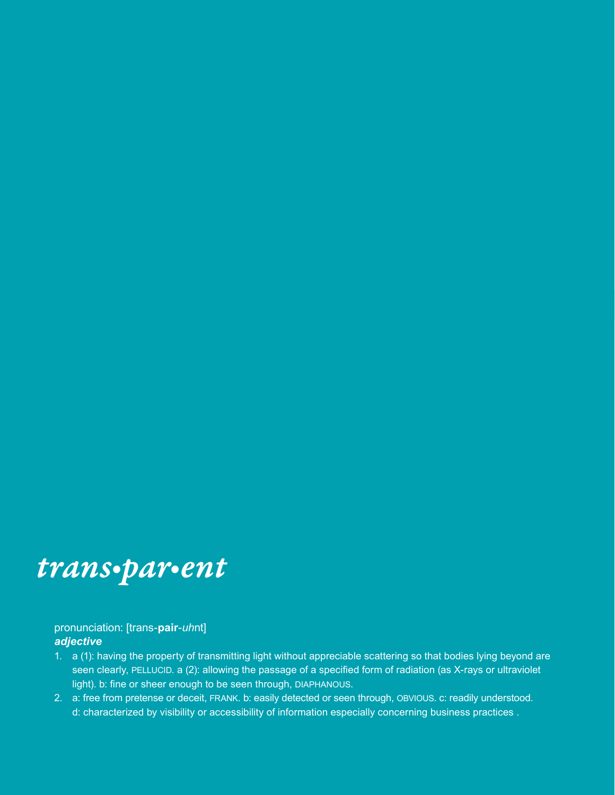## *trans•par•ent*

### pronunciation: [trans-**pair**-*uh*nt] *adjective*

- 1. a (1): having the property of transmitting light without appreciable scattering so that bodies lying beyond are seen clearly, PELLUCID. a (2): allowing the passage of a specified form of radiation (as X-rays or ultraviolet light). b: fine or sheer enough to be seen through, DIAPHANOUS.
- 2. a: free from pretense or deceit, frank. b: easily detected or seen through, obvious. c: readily understood. d: characterized by visibility or accessibility of information especially concerning business practices .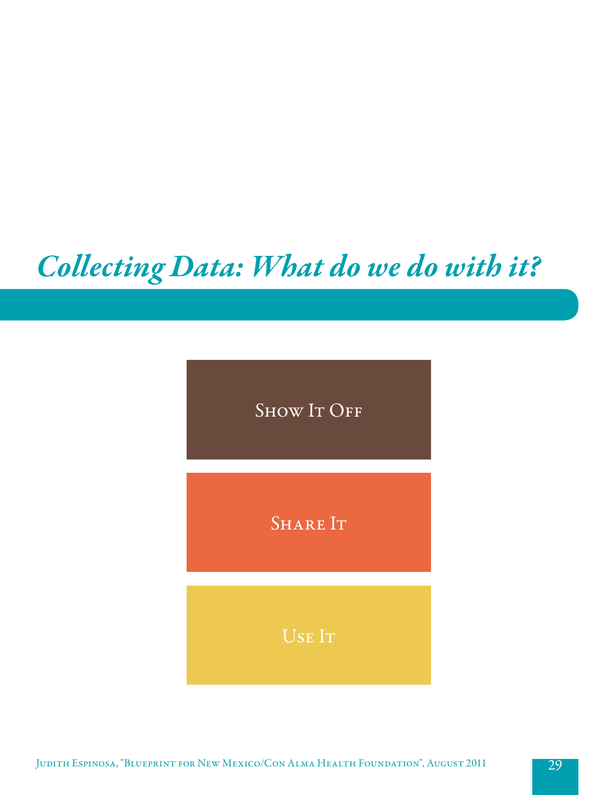# *Collecting Data: What do we do with it?*

SHOW IT OFF

SHARE IT

Use It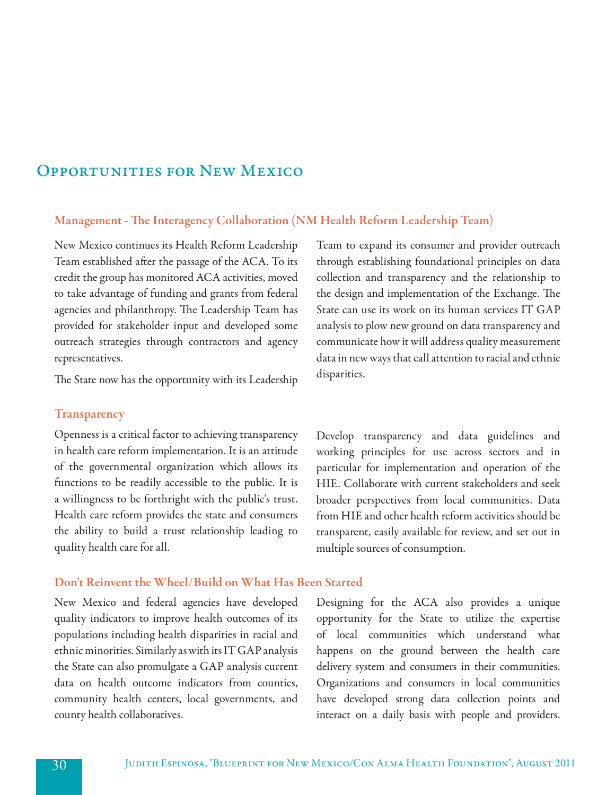### Opportunities for New Mexico

### Management - The Interagency Collaboration (NM Health Reform Leadership Team)

New Mexico continues its Health Reform Leadership Team established after the passage of the ACA. To its credit the group has monitored ACA activities, moved to take advantage of funding and grants from federal agencies and philanthropy. The Leadership Team has provided for stakeholder input and developed some outreach strategies through contractors and agency representatives.

The State now has the opportunity with its Leadership

#### **Transparency**

Openness is a critical factor to achieving transparency in health care reform implementation. It is an attitude of the governmental organization which allows its functions to be readily accessible to the public. It is a willingness to be forthright with the public's trust. Health care reform provides the state and consumers the ability to build a trust relationship leading to quality health care for all.

Team to expand its consumer and provider outreach through establishing foundational principles on data collection and transparency and the relationship to the design and implementation of the Exchange. The State can use its work on its human services IT GAP analysis to plow new ground on data transparency and communicate how it will address quality measurement data in new ways that call attention to racial and ethnic disparities.

Develop transparency and data guidelines and working principles for use across sectors and in particular for implementation and operation of the HIE. Collaborate with current stakeholders and seek broader perspectives from local communities. Data from HIE and other health reform activities should be transparent, easily available for review, and set out in multiple sources of consumption.

### Don't Reinvent the Wheel/Build on What Has Been Started

New Mexico and federal agencies have developed quality indicators to improve health outcomes of its populations including health disparities in racial and ethnic minorities. Similarly as with its IT GAP analysis the State can also promulgate a GAP analysis current data on health outcome indicators from counties, community health centers, local governments, and county health collaboratives.

Designing for the ACA also provides a unique opportunity for the State to utilize the expertise of local communities which understand what happens on the ground between the health care delivery system and consumers in their communities. Organizations and consumers in local communities have developed strong data collection points and interact on a daily basis with people and providers.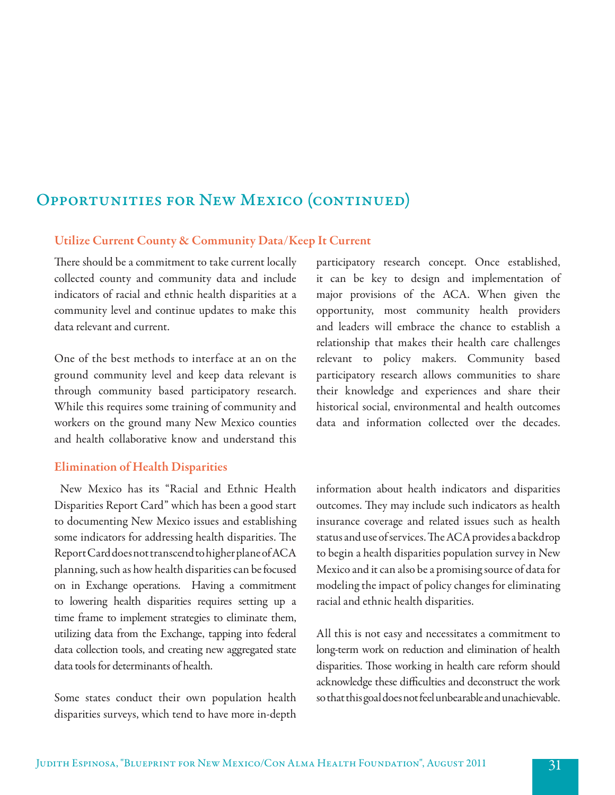## Opportunities for New Mexico (continued)

### Utilize Current County & Community Data/Keep It Current

There should be a commitment to take current locally collected county and community data and include indicators of racial and ethnic health disparities at a community level and continue updates to make this data relevant and current.

One of the best methods to interface at an on the ground community level and keep data relevant is through community based participatory research. While this requires some training of community and workers on the ground many New Mexico counties and health collaborative know and understand this

### Elimination of Health Disparities

 New Mexico has its "Racial and Ethnic Health Disparities Report Card" which has been a good start to documenting New Mexico issues and establishing some indicators for addressing health disparities. The Report Card does not transcend to higher plane of ACA planning, such as how health disparities can be focused on in Exchange operations. Having a commitment to lowering health disparities requires setting up a time frame to implement strategies to eliminate them, utilizing data from the Exchange, tapping into federal data collection tools, and creating new aggregated state data tools for determinants of health.

Some states conduct their own population health disparities surveys, which tend to have more in-depth

participatory research concept. Once established, it can be key to design and implementation of major provisions of the ACA. When given the opportunity, most community health providers and leaders will embrace the chance to establish a relationship that makes their health care challenges relevant to policy makers. Community based participatory research allows communities to share their knowledge and experiences and share their historical social, environmental and health outcomes data and information collected over the decades.

information about health indicators and disparities outcomes. They may include such indicators as health insurance coverage and related issues such as health status and use of services. The ACA provides a backdrop to begin a health disparities population survey in New Mexico and it can also be a promising source of data for modeling the impact of policy changes for eliminating racial and ethnic health disparities.

All this is not easy and necessitates a commitment to long-term work on reduction and elimination of health disparities. Those working in health care reform should acknowledge these difficulties and deconstruct the work so that this goal does not feel unbearable and unachievable.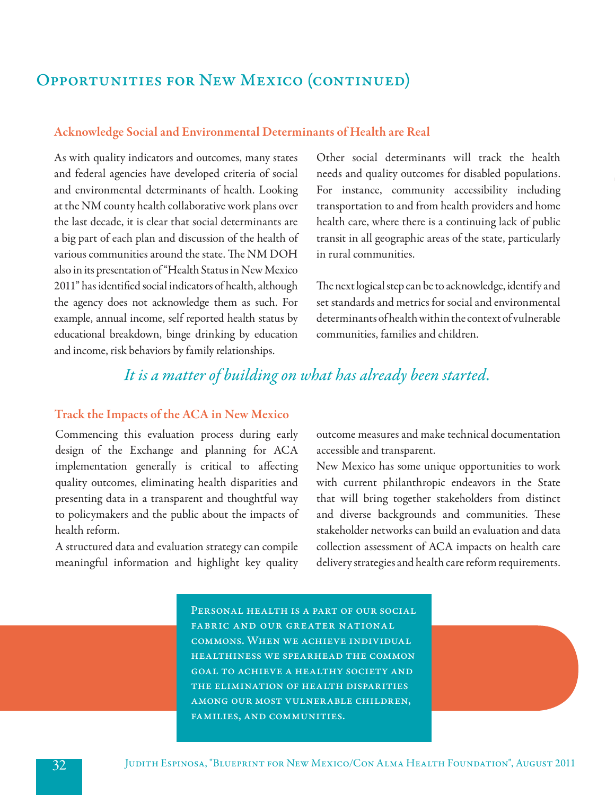## Opportunities for New Mexico (continued)

### Acknowledge Social and Environmental Determinants of Health are Real

As with quality indicators and outcomes, many states and federal agencies have developed criteria of social and environmental determinants of health. Looking at the NM county health collaborative work plans over the last decade, it is clear that social determinants are a big part of each plan and discussion of the health of various communities around the state. The NM DOH also in its presentation of "Health Status in New Mexico 2011" has identified social indicators of health, although the agency does not acknowledge them as such. For example, annual income, self reported health status by educational breakdown, binge drinking by education and income, risk behaviors by family relationships.

Other social determinants will track the health needs and quality outcomes for disabled populations. For instance, community accessibility including transportation to and from health providers and home health care, where there is a continuing lack of public transit in all geographic areas of the state, particularly in rural communities.

The next logical step can be to acknowledge, identify and set standards and metrics for social and environmental determinants of health within the context of vulnerable communities, families and children.

### *It is a matter of building on what has already been started.*

### Track the Impacts of the ACA in New Mexico

Commencing this evaluation process during early design of the Exchange and planning for ACA implementation generally is critical to affecting quality outcomes, eliminating health disparities and presenting data in a transparent and thoughtful way to policymakers and the public about the impacts of health reform.

A structured data and evaluation strategy can compile meaningful information and highlight key quality outcome measures and make technical documentation accessible and transparent.

New Mexico has some unique opportunities to work with current philanthropic endeavors in the State that will bring together stakeholders from distinct and diverse backgrounds and communities. These stakeholder networks can build an evaluation and data collection assessment of ACA impacts on health care delivery strategies and health care reform requirements.

PERSONAL HEALTH IS A PART OF OUR SOCIAL fabric and our greater national commons. When we achieve individual healthiness we spearhead the common goal to achieve a healthy society and the elimination of health disparities among our most vulnerable children, families, and communities.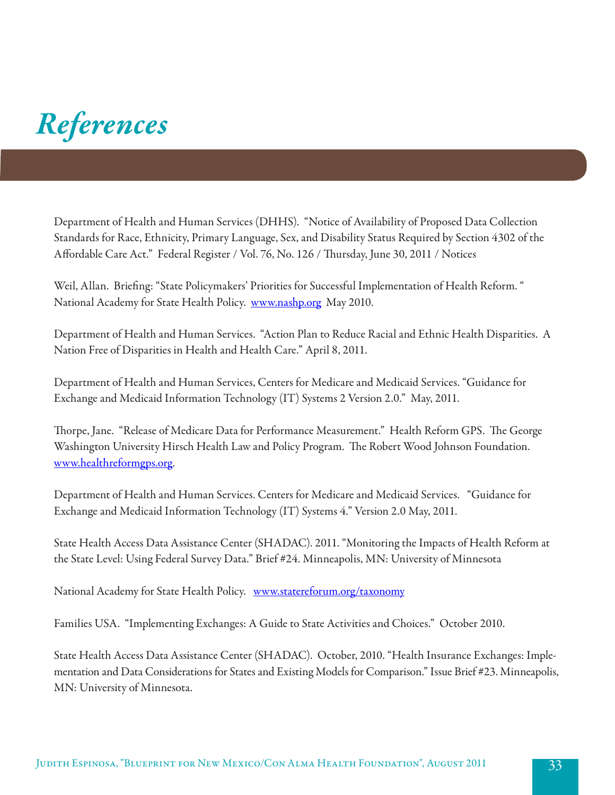# *References*

Department of Health and Human Services (DHHS). "Notice of Availability of Proposed Data Collection Standards for Race, Ethnicity, Primary Language, Sex, and Disability Status Required by Section 4302 of the Affordable Care Act." Federal Register / Vol. 76, No. 126 / Thursday, June 30, 2011 / Notices

Weil, Allan. Briefing: "State Policymakers' Priorities for Successful Implementation of Health Reform. " National Academy for State Health Policy. www.nashp.org May 2010.

Department of Health and Human Services. "Action Plan to Reduce Racial and Ethnic Health Disparities. A Nation Free of Disparities in Health and Health Care." April 8, 2011.

Department of Health and Human Services, Centers for Medicare and Medicaid Services. "Guidance for Exchange and Medicaid Information Technology (IT) Systems 2 Version 2.0." May, 2011.

Thorpe, Jane. "Release of Medicare Data for Performance Measurement." Health Reform GPS. The George Washington University Hirsch Health Law and Policy Program. The Robert Wood Johnson Foundation. www.healthreformgps.org.

Department of Health and Human Services. Centers for Medicare and Medicaid Services. "Guidance for Exchange and Medicaid Information Technology (IT) Systems 4." Version 2.0 May, 2011.

State Health Access Data Assistance Center (SHADAC). 2011. "Monitoring the Impacts of Health Reform at the State Level: Using Federal Survey Data." Brief #24. Minneapolis, MN: University of Minnesota

National Academy for State Health Policy. www.statereforum.org/taxonomy

Families USA. "Implementing Exchanges: A Guide to State Activities and Choices." October 2010.

State Health Access Data Assistance Center (SHADAC). October, 2010. "Health Insurance Exchanges: Implementation and Data Considerations for States and Existing Models for Comparison." Issue Brief #23. Minneapolis, MN: University of Minnesota.